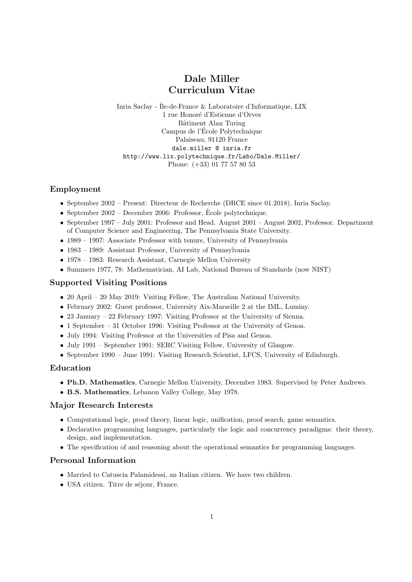# Dale Miller Curriculum Vitae

Inria Saclay - Île-de-France & Laboratoire d'Informatique, LIX 1 rue Honoré d'Estienne d'Orves Bâtiment Alan Turing Campus de l'Ecole Polytechnique ´ Palaiseau, 91120 France dale.miller @ inria.fr http://www.lix.polytechnique.fr/Labo/Dale.Miller/ Phone: (+33) 01 77 57 80 53

# Employment

- September 2002 Present: Directeur de Recherche (DRCE since 01.2018), Inria Saclay.
- September 2002 December 2006: Professor, Ecole polytechnique.
- September 1997 July 2001: Professor and Head. August 2001 August 2002, Professor. Department of Computer Science and Engineering, The Pennsylvania State University.
- 1989 1997: Associate Professor with tenure, University of Pennsylvania
- 1983 1989: Assistant Professor, University of Pennsylvania
- 1978 1983: Research Assistant, Carnegie Mellon University
- Summers 1977, 78: Mathematician, AI Lab, National Bureau of Standards (now NIST)

# Supported Visiting Positions

- 20 April 20 May 2019: Visiting Fellow, The Australian National University.
- February 2002: Guest professor, University Aix-Marseille 2 at the IML, Luminy.
- 23 January 22 February 1997: Visiting Professor at the University of Sienna.
- 1 September 31 October 1996: Visiting Professor at the University of Genoa.
- July 1994: Visiting Professor at the Universities of Pisa and Genoa.
- July 1991 September 1991: SERC Visiting Fellow, University of Glasgow.
- September 1990 June 1991: Visiting Research Scientist, LFCS, University of Edinburgh.

# Education

- Ph.D. Mathematics, Carnegie Mellon University, December 1983. Supervised by Peter Andrews.
- B.S. Mathematics, Lebanon Valley College, May 1978.

# Major Research Interests

- Computational logic, proof theory, linear logic, unification, proof search, game semantics.
- Declarative programming languages, particularly the logic and concurrency paradigms: their theory, design, and implementation.
- The specification of and reasoning about the operational semantics for programming languages.

# Personal Information

- Married to Catuscia Palamidessi, an Italian citizen. We have two children.
- USA citizen. Titre de séjour, France.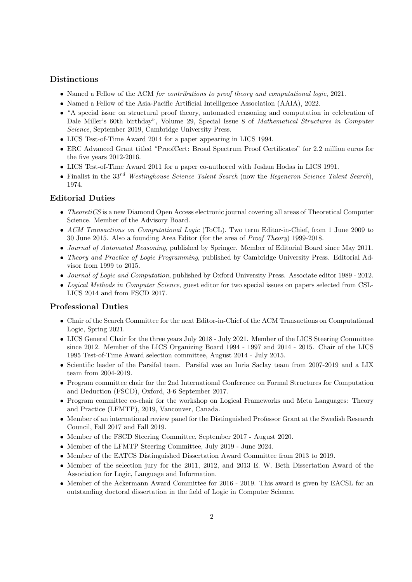# Distinctions

- Named a Fellow of the ACM for contributions to proof theory and computational logic, 2021.
- Named a Fellow of the Asia-Pacific Artificial Intelligence Association (AAIA), 2022.
- "A special issue on structural proof theory, automated reasoning and computation in celebration of Dale Miller's 60th birthday", Volume 29, Special Issue 8 of Mathematical Structures in Computer Science, September 2019, Cambridge University Press.
- LICS Test-of-Time Award 2014 for a paper appearing in LICS 1994.
- ERC Advanced Grant titled "ProofCert: Broad Spectrum Proof Certificates" for 2.2 million euros for the five years 2012-2016.
- LICS Test-of-Time Award 2011 for a paper co-authored with Joshua Hodas in LICS 1991.
- Finalist in the  $33^{rd}$  Westinghouse Science Talent Search (now the Regeneron Science Talent Search), 1974.

## Editorial Duties

- TheoretiCS is a new Diamond Open Access electronic journal covering all areas of Theoretical Computer Science. Member of the Advisory Board.
- ACM Transactions on Computational Logic (ToCL). Two term Editor-in-Chief, from 1 June 2009 to 30 June 2015. Also a founding Area Editor (for the area of Proof Theory) 1999-2018.
- Journal of Automated Reasoning, published by Springer. Member of Editorial Board since May 2011.
- Theory and Practice of Logic Programming, published by Cambridge University Press. Editorial Advisor from 1999 to 2015.
- Journal of Logic and Computation, published by Oxford University Press. Associate editor 1989 2012.
- Logical Methods in Computer Science, guest editor for two special issues on papers selected from CSL-LICS 2014 and from FSCD 2017.

### Professional Duties

- Chair of the Search Committee for the next Editor-in-Chief of the ACM Transactions on Computational Logic, Spring 2021.
- LICS General Chair for the three years July 2018 July 2021. Member of the LICS Steering Committee since 2012. Member of the LICS Organizing Board 1994 - 1997 and 2014 - 2015. Chair of the LICS 1995 Test-of-Time Award selection committee, August 2014 - July 2015.
- Scientific leader of the Parsifal team. Parsifal was an Inria Saclay team from 2007-2019 and a LIX team from 2004-2019.
- Program committee chair for the 2nd International Conference on Formal Structures for Computation and Deduction (FSCD), Oxford, 3-6 September 2017.
- Program committee co-chair for the workshop on Logical Frameworks and Meta Languages: Theory and Practice (LFMTP), 2019, Vancouver, Canada.
- Member of an international review panel for the Distinguished Professor Grant at the Swedish Research Council, Fall 2017 and Fall 2019.
- Member of the FSCD Steering Committee, September 2017 August 2020.
- Member of the LFMTP Steering Committee, July 2019 June 2024.
- Member of the EATCS Distinguished Dissertation Award Committee from 2013 to 2019.
- Member of the selection jury for the 2011, 2012, and 2013 E. W. Beth Dissertation Award of the Association for Logic, Language and Information.
- Member of the Ackermann Award Committee for 2016 2019. This award is given by EACSL for an outstanding doctoral dissertation in the field of Logic in Computer Science.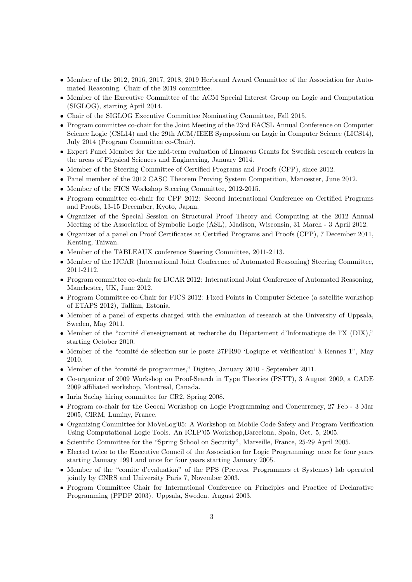- Member of the 2012, 2016, 2017, 2018, 2019 Herbrand Award Committee of the Association for Automated Reasoning. Chair of the 2019 committee.
- Member of the Executive Committee of the ACM Special Interest Group on Logic and Computation (SIGLOG), starting April 2014.
- Chair of the SIGLOG Executive Committee Nominating Committee, Fall 2015.
- Program committee co-chair for the Joint Meeting of the 23rd EACSL Annual Conference on Computer Science Logic (CSL14) and the 29th ACM/IEEE Symposium on Logic in Computer Science (LICS14), July 2014 (Program Committee co-Chair).
- Expert Panel Member for the mid-term evaluation of Linnaeus Grants for Swedish research centers in the areas of Physical Sciences and Engineering, January 2014.
- Member of the Steering Committee of Certified Programs and Proofs (CPP), since 2012.
- Panel member of the 2012 CASC Theorem Proving System Competition, Mancester, June 2012.
- Member of the FICS Workshop Steering Committee, 2012-2015.
- Program committee co-chair for CPP 2012: Second International Conference on Certified Programs and Proofs, 13-15 December, Kyoto, Japan.
- Organizer of the Special Session on Structural Proof Theory and Computing at the 2012 Annual Meeting of the Association of Symbolic Logic (ASL), Madison, Wisconsin, 31 March - 3 April 2012.
- Organizer of a panel on Proof Certificates at Certified Programs and Proofs (CPP), 7 December 2011, Kenting, Taiwan.
- Member of the TABLEAUX conference Steering Committee, 2011-2113.
- Member of the IJCAR (International Joint Conference of Automated Reasoning) Steering Committee, 2011-2112.
- Program committee co-chair for IJCAR 2012: International Joint Conference of Automated Reasoning, Manchester, UK, June 2012.
- Program Committee co-Chair for FICS 2012: Fixed Points in Computer Science (a satellite workshop of ETAPS 2012), Tallinn, Estonia.
- Member of a panel of experts charged with the evaluation of research at the University of Uppsala, Sweden, May 2011.
- Member of the "comité d'enseignement et recherche du Département d'Informatique de l'X (DIX)," starting October 2010.
- Member of the "comité de sélection sur le poste 27PR90 'Logique et vérification' à Rennes 1", May 2010.
- Member of the "comité de programmes," Digiteo, January 2010 September 2011.
- Co-organizer of 2009 Workshop on Proof-Search in Type Theories (PSTT), 3 August 2009, a CADE 2009 affiliated workshop, Montreal, Canada.
- Inria Saclay hiring committee for CR2, Spring 2008.
- Program co-chair for the Geocal Workshop on Logic Programming and Concurrency, 27 Feb 3 Mar 2005, CIRM, Luminy, France.
- Organizing Committee for MoVeLog'05: A Workshop on Mobile Code Safety and Program Verification Using Computational Logic Tools. An ICLP'05 Workshop,Barcelona, Spain, Oct. 5, 2005.
- Scientific Committee for the "Spring School on Security", Marseille, France, 25-29 April 2005.
- Elected twice to the Executive Council of the Association for Logic Programming: once for four years starting January 1991 and once for four years starting January 2005.
- Member of the "comite d'evaluation" of the PPS (Preuves, Programmes et Systemes) lab operated jointly by CNRS and University Paris 7, November 2003.
- Program Committee Chair for International Conference on Principles and Practice of Declarative Programming (PPDP 2003). Uppsala, Sweden. August 2003.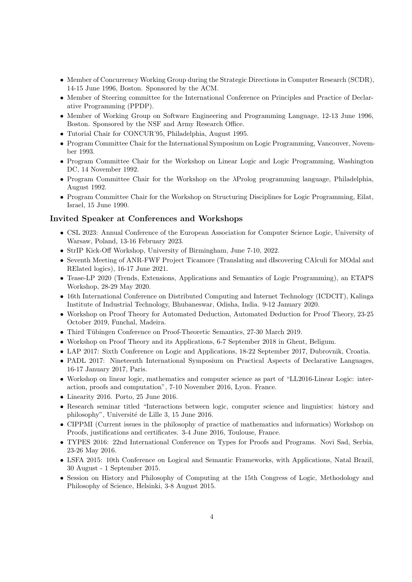- Member of Concurrency Working Group during the Strategic Directions in Computer Research (SCDR), 14-15 June 1996, Boston. Sponsored by the ACM.
- Member of Steering committee for the International Conference on Principles and Practice of Declarative Programming (PPDP).
- Member of Working Group on Software Engineering and Programming Language, 12-13 June 1996, Boston. Sponsored by the NSF and Army Research Office.
- Tutorial Chair for CONCUR'95, Philadelphia, August 1995.
- Program Committee Chair for the International Symposium on Logic Programming, Vancouver, November 1993.
- Program Committee Chair for the Workshop on Linear Logic and Logic Programming, Washington DC, 14 November 1992.
- Program Committee Chair for the Workshop on the λProlog programming language, Philadelphia, August 1992.
- Program Committee Chair for the Workshop on Structuring Disciplines for Logic Programming, Eilat, Israel, 15 June 1990.

### Invited Speaker at Conferences and Workshops

- CSL 2023: Annual Conference of the European Association for Computer Science Logic, University of Warsaw, Poland, 13-16 February 2023.
- StrIP Kick-Off Workshop, University of Birmingham, June 7-10, 2022.
- Seventh Meeting of ANR-FWF Project Ticamore (Translating and dIscovering CAlculi for MOdal and RElated logics), 16-17 June 2021.
- Tease-LP 2020 (Trends, Extensions, Applications and Semantics of Logic Programming), an ETAPS Workshop, 28-29 May 2020.
- 16th International Conference on Distributed Computing and Internet Technology (ICDCIT), Kalinga Institute of Industrial Technology, Bhubaneswar, Odisha, India. 9-12 January 2020.
- Workshop on Proof Theory for Automated Deduction, Automated Deduction for Proof Theory, 23-25 October 2019, Funchal, Madeira.
- Third Tübingen Conference on Proof-Theoretic Semantics, 27-30 March 2019.
- Workshop on Proof Theory and its Applications, 6-7 September 2018 in Ghent, Beligum.
- LAP 2017: Sixth Conference on Logic and Applications, 18-22 September 2017, Dubrovnik, Croatia.
- PADL 2017: Nineteenth International Symposium on Practical Aspects of Declarative Languages, 16-17 January 2017, Paris.
- Workshop on linear logic, mathematics and computer science as part of "LL2016-Linear Logic: interaction, proofs and computation", 7-10 November 2016, Lyon. France.
- Linearity 2016. Porto, 25 June 2016.
- Research seminar titled "Interactions between logic, computer science and linguistics: history and philosophy", Université de Lille 3, 15 June 2016.
- CIPPMI (Current issues in the philosophy of practice of mathematics and informatics) Workshop on Proofs, justifications and certificates. 3-4 June 2016, Toulouse, France.
- TYPES 2016: 22nd International Conference on Types for Proofs and Programs. Novi Sad, Serbia, 23-26 May 2016.
- LSFA 2015: 10th Conference on Logical and Semantic Frameworks, with Applications, Natal Brazil, 30 August - 1 September 2015.
- Session on History and Philosophy of Computing at the 15th Congress of Logic, Methodology and Philosophy of Science, Helsinki, 3-8 August 2015.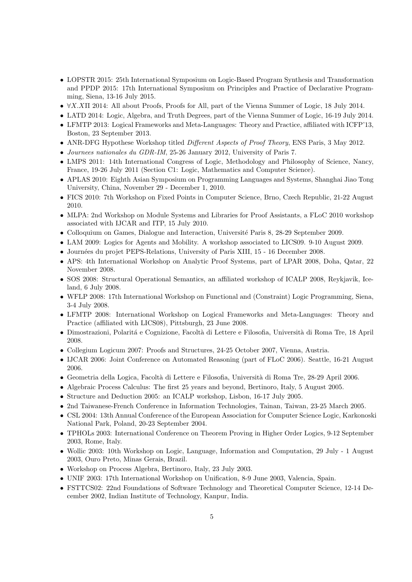- LOPSTR 2015: 25th International Symposium on Logic-Based Program Synthesis and Transformation and PPDP 2015: 17th International Symposium on Principles and Practice of Declarative Programming, Siena, 13-16 July 2015.
- ∀X.XΠ 2014: All about Proofs, Proofs for All, part of the Vienna Summer of Logic, 18 July 2014.
- LATD 2014: Logic, Algebra, and Truth Degrees, part of the Vienna Summer of Logic, 16-19 July 2014.
- LFMTP 2013: Logical Frameworks and Meta-Languages: Theory and Practice, affiliated with ICFP'13, Boston, 23 September 2013.
- ANR-DFG Hypothese Workshop titled *Different Aspects of Proof Theory*, ENS Paris, 3 May 2012.
- Journees nationales du GDR-IM, 25-26 January 2012, University of Paris 7.
- LMPS 2011: 14th International Congress of Logic, Methodology and Philosophy of Science, Nancy, France, 19-26 July 2011 (Section C1: Logic, Mathematics and Computer Science).
- APLAS 2010: Eighth Asian Symposium on Programming Languages and Systems, Shanghai Jiao Tong University, China, November 29 - December 1, 2010.
- FICS 2010: 7th Workshop on Fixed Points in Computer Science, Brno, Czech Republic, 21-22 August 2010.
- MLPA: 2nd Workshop on Module Systems and Libraries for Proof Assistants, a FLoC 2010 workshop associated with IJCAR and ITP, 15 July 2010.
- Colloquium on Games, Dialogue and Interaction, Université Paris 8, 28-29 September 2009.
- LAM 2009: Logics for Agents and Mobility. A workshop associated to LICS09. 9-10 August 2009.
- Journées du projet PEPS-Relations, University of Paris XIII, 15 16 December 2008.
- APS: 4th International Workshop on Analytic Proof Systems, part of LPAR 2008, Doha, Qatar, 22 November 2008.
- SOS 2008: Structural Operational Semantics, an affiliated workshop of ICALP 2008, Reykjavik, Iceland, 6 July 2008.
- WFLP 2008: 17th International Workshop on Functional and (Constraint) Logic Programming, Siena, 3-4 July 2008.
- LFMTP 2008: International Workshop on Logical Frameworks and Meta-Languages: Theory and Practice (affiliated with LICS08), Pittsburgh, 23 June 2008.
- Dimostrazioni, Polarit´a e Cognizione, Facolt`a di Lettere e Filosofia, Universit`a di Roma Tre, 18 April 2008.
- Collegium Logicum 2007: Proofs and Structures, 24-25 October 2007, Vienna, Austria.
- IJCAR 2006: Joint Conference on Automated Reasoning (part of FLoC 2006). Seattle, 16-21 August 2006.
- Geometria della Logica, Facolt`a di Lettere e Filosofia, Universit`a di Roma Tre, 28-29 April 2006.
- Algebraic Process Calculus: The first 25 years and beyond, Bertinoro, Italy, 5 August 2005.
- Structure and Deduction 2005: an ICALP workshop, Lisbon, 16-17 July 2005.
- 2nd Taiwanese-French Conference in Information Technologies, Tainan, Taiwan, 23-25 March 2005.
- CSL 2004: 13th Annual Conference of the European Association for Computer Science Logic, Karkonoski National Park, Poland, 20-23 September 2004.
- TPHOLs 2003: International Conference on Theorem Proving in Higher Order Logics, 9-12 September 2003, Rome, Italy.
- Wollic 2003: 10th Workshop on Logic, Language, Information and Computation, 29 July 1 August 2003, Ouro Preto, Minas Gerais, Brazil.
- Workshop on Process Algebra, Bertinoro, Italy, 23 July 2003.
- UNIF 2003: 17th International Workshop on Unification, 8-9 June 2003, Valencia, Spain.
- FSTTCS02: 22nd Foundations of Software Technology and Theoretical Computer Science, 12-14 December 2002, Indian Institute of Technology, Kanpur, India.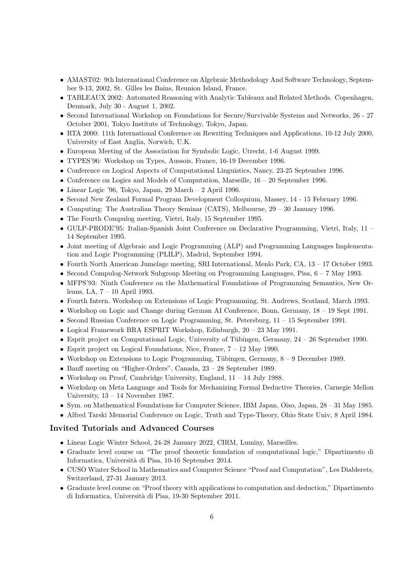- AMAST02: 9th International Conference on Algebraic Methodology And Software Technology, September 9-13, 2002, St. Gilles les Bains, Reunion Island, France.
- TABLEAUX 2002: Automated Reasoning with Analytic Tableaux and Related Methods. Copenhagen, Denmark, July 30 - August 1, 2002.
- Second International Workshop on Foundations for Secure/Survivable Systems and Networks, 26 27 October 2001, Tokyo Institute of Technology, Tokyo, Japan.
- RTA 2000: 11th International Conference on Rewriting Techniques and Applications, 10-12 July 2000, University of East Anglia, Norwich, U.K.
- European Meeting of the Association for Symbolic Logic, Utrecht, 1-6 August 1999.
- TYPES'96: Workshop on Types, Aussois, France, 16-19 December 1996.
- Conference on Logical Aspects of Computational Linguistics, Nancy, 23-25 September 1996.
- Conference on Logics and Models of Computation, Marseille, 16 20 September 1996.
- Linear Logic '96, Tokyo, Japan, 29 March 2 April 1996.
- Second New Zealand Formal Program Development Colloquium, Massey, 14 15 February 1996.
- Computing: The Australian Theory Seminar (CATS), Melbourne, 29 30 January 1996.
- The Fourth Compulog meeting, Vietri, Italy, 15 September 1995.
- GULP-PRODE'95: Italian-Spanish Joint Conference on Declarative Programming, Vietri, Italy, 11 14 September 1995.
- Joint meeting of Algebraic and Logic Programming (ALP) and Programming Languages Implementation and Logic Programming (PLILP), Madrid, September 1994.
- Fourth North American Jumelage meeting, SRI International, Menlo Park, CA, 13 17 October 1993.
- Second Compulog-Network Subgroup Meeting on Programming Languages, Pisa, 6 7 May 1993.
- MFPS'93: Ninth Conference on the Mathematical Foundations of Programming Semantics, New Orleans, LA, 7 – 10 April 1993.
- Fourth Intern. Workshop on Extensions of Logic Programming, St. Andrews, Scotland, March 1993.
- Workshop on Logic and Change during German AI Conference, Bonn, Germany, 18 19 Sept 1991.
- Second Russian Conference on Logic Programming, St. Petersburg, 11 15 September 1991.
- Logical Framework BRA ESPRIT Workshop, Edinburgh, 20 23 May 1991.
- Esprit project on Computational Logic, University of Tübingen, Germany,  $24 26$  September 1990.
- Esprit project on Logical Foundations, Nice, France,  $7 12$  May 1990.
- Workshop on Extensions to Logic Programming, Tübingen, Germany,  $8-9$  December 1989.
- Banff meeting on "Higher-Orders", Canada, 23 28 September 1989.
- Workshop on Proof, Cambridge University, England,  $11 14$  July 1988.
- Workshop on Meta Language and Tools for Mechanizing Formal Deductive Theories, Carnegie Mellon University, 13 – 14 November 1987.
- Sym. on Mathematical Foundations for Computer Science, IBM Japan, Oiso, Japan, 28 31 May 1985.
- Alfred Tarski Memorial Conference on Logic, Truth and Type-Theory, Ohio State Univ, 8 April 1984.

## Invited Tutorials and Advanced Courses

- Linear Logic Winter School, 24-28 January 2022, CIRM, Luminy, Marseilles.
- Graduate level course on "The proof theoretic foundation of computational logic," Dipartimento di Informatica, Universit`a di Pisa, 10-16 September 2014.
- CUSO Winter School in Mathematics and Computer Science "Proof and Computation", Les Diablerets, Switzerland, 27-31 January 2013.
- Graduate level course on "Proof theory with applications to computation and deduction," Dipartimento di Informatica, Universit`a di Pisa, 19-30 September 2011.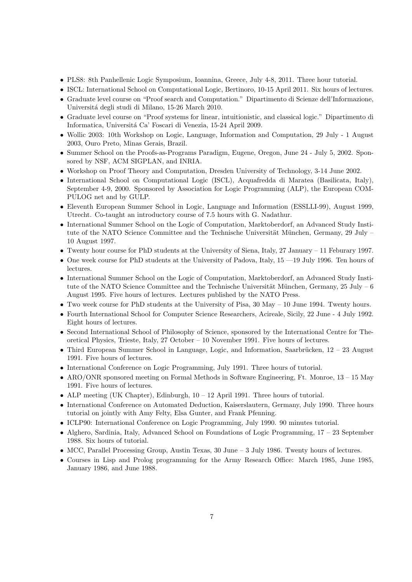- PLS8: 8th Panhellenic Logic Symposium, Ioannina, Greece, July 4-8, 2011. Three hour tutorial.
- ISCL: International School on Computational Logic, Bertinoro, 10-15 April 2011. Six hours of lectures.
- Graduate level course on "Proof search and Computation." Dipartimento di Scienze dell'Informazione, Universitá degli studi di Milano, 15-26 March 2010.
- Graduate level course on "Proof systems for linear, intuitionistic, and classical logic." Dipartimento di Informatica, Universitá Ca' Foscari di Venezia, 15-24 April 2009.
- Wollic 2003: 10th Workshop on Logic, Language, Information and Computation, 29 July 1 August 2003, Ouro Preto, Minas Gerais, Brazil.
- Summer School on the Proofs-as-Programs Paradigm, Eugene, Oregon, June 24 July 5, 2002. Sponsored by NSF, ACM SIGPLAN, and INRIA.
- Workshop on Proof Theory and Computation, Dresden University of Technology, 3-14 June 2002.
- International School on Computational Logic (ISCL), Acquafredda di Maratea (Basilicata, Italy), September 4-9, 2000. Sponsored by Association for Logic Programming (ALP), the European COM-PULOG net and by GULP.
- Eleventh European Summer School in Logic, Language and Information (ESSLLI-99), August 1999, Utrecht. Co-taught an introductory course of 7.5 hours with G. Nadathur.
- International Summer School on the Logic of Computation, Marktoberdorf, an Advanced Study Institute of the NATO Science Committee and the Technische Universität München, Germany, 29 July – 10 August 1997.
- Twenty hour course for PhD students at the University of Siena, Italy, 27 January 11 Feburary 1997.
- One week course for PhD students at the University of Padova, Italy, 15 —19 July 1996. Ten hours of lectures.
- International Summer School on the Logic of Computation, Marktoberdorf, an Advanced Study Institute of the NATO Science Committee and the Technische Universität München, Germany, 25 July – 6 August 1995. Five hours of lectures. Lectures published by the NATO Press.
- Two week course for PhD students at the University of Pisa, 30 May 10 June 1994. Twenty hours.
- Fourth International School for Computer Science Researchers, Acireale, Sicily, 22 June 4 July 1992. Eight hours of lectures.
- Second International School of Philosophy of Science, sponsored by the International Centre for Theoretical Physics, Trieste, Italy, 27 October – 10 November 1991. Five hours of lectures.
- Third European Summer School in Language, Logic, and Information, Saarbrücken,  $12 23$  August 1991. Five hours of lectures.
- International Conference on Logic Programming, July 1991. Three hours of tutorial.
- ARO/ONR sponsored meeting on Formal Methods in Software Engineering, Ft. Monroe, 13 15 May 1991. Five hours of lectures.
- ALP meeting (UK Chapter), Edinburgh,  $10 12$  April 1991. Three hours of tutorial.
- International Conference on Automated Deduction, Kaiserslautern, Germany, July 1990. Three hours tutorial on jointly with Amy Felty, Elsa Gunter, and Frank Pfenning.
- ICLP90: International Conference on Logic Programming, July 1990. 90 minutes tutorial.
- Alghero, Sardinia, Italy, Advanced School on Foundations of Logic Programming, 17 23 September 1988. Six hours of tutorial.
- MCC, Parallel Processing Group, Austin Texas, 30 June 3 July 1986. Twenty hours of lectures.
- Courses in Lisp and Prolog programming for the Army Research Office: March 1985, June 1985, January 1986, and June 1988.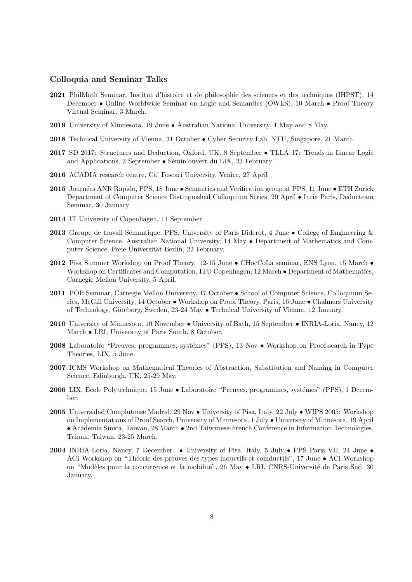# Colloquia and Seminar Talks

- 2021 PhilMath Seminar, Institut d'histoire et de philosophie des sciences et des techniques (IHPST), 14 December • Online Worldwide Seminar on Logic and Semantics (OWLS), 10 March • Proof Theory Virtual Seminar, 3 March.
- 2019 University of Minnesota, 19 June Australian National University, 1 May and 8 May.
- 2018 Technical University of Vienna, 31 October Cyber Security Lab, NTU, Singapore, 21 March.
- 2017 SD 2017: Structures and Deduction, Oxford, UK, 8 September TLLA 17: Trends in Linear Logic and Applications, 3 September  $\bullet$  Sémin'ouvert du LIX, 23 February
- 2016 ACADIA research centre, Ca' Foscari University, Venice, 27 April
- 2015 Journées ANR Rapido, PPS, 18 June Semantics and Verification group at PPS, 11 June ETH Zurick Department of Computer Science Distinguished Colloquium Series, 20 April • Inria Paris, Deducteam Seminar, 30 January
- 2014 IT University of Copenhagen, 11 September
- **2013** Groupe de travail Sémantique, PPS, University of Paris Diderot, 4 June College of Engineering & Computer Science, Australian National University, 14 May • Department of Mathematics and Computer Science, Freie Universität Berlin, 22 February.
- 2012 Pisa Summer Workshop on Proof Theory. 12-15 June CHocCoLa seminar, ENS Lyon, 15 March Workshop on Certificates and Computation, ITU Copenhagen, 12 March • Department of Mathematics, Carnegie Mellon University, 5 April.
- 2011 POP Seminar, Carnegie Mellon University, 17 October School of Computer Science, Colloquium Series, McGill University, 14 October • Workshop on Proof Theory, Paris, 16 June • Chalmers University of Technology, Göteborg, Sweden, 23-24 May ● Technical University of Vienna, 12 January.
- 2010 University of Minnesota, 10 November University of Bath, 15 September INRIA-Loria, Nancy, 12 March • LRI, University of Paris South, 8 October.
- 2008 Laboratoire "Preuves, programmes, systémes" (PPS), 13 Nov Workshop on Proof-search in Type Theories, LIX, 5 June.
- 2007 ICMS Workshop on Mathematical Theories of Abstraction, Substitution and Naming in Computer Science, Edinburgh, UK, 25-29 May.
- **2006** LIX, Ecole Polytechnique, 15 June Laboratoire "Preuves, programmes, systémes" (PPS), 1 December.
- 2005 Universidad Complutense Madrid, 29 Nov University of Pisa, Italy, 22 July WIPS 2005: Workshop on Implementations of Proof Search, University of Minnesota, 1 July • University of Minnesota, 19 April • Academia Sinica, Taiwan, 28 March • 2nd Taiwanese-French Conference in Information Technologies, Tainan, Taiwan, 23-25 March.
- 2004 INRIA-Loria, Nancy, 7 December. University of Pisa, Italy, 5 July PPS Paris VII, 24 June ACI Workshop on "Théorie des preuves des types inductifs et coinductifs", 17 June • ACI Workshop on "Modèles pour la concurrence et la mobilité", 26 May • LRI, CNRS-Université de Paris Sud, 30 January.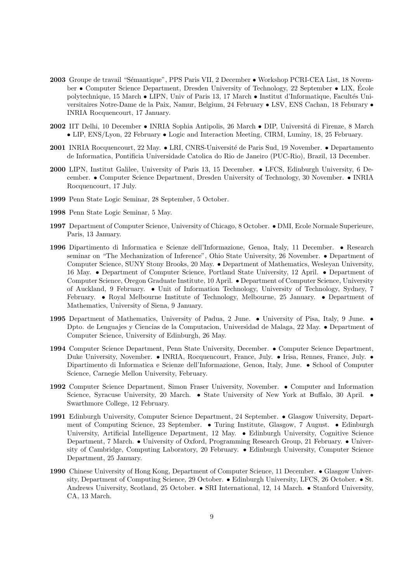- 2003 Groupe de travail "Sémantique", PPS Paris VII, 2 December Workshop PCRI-CEA List, 18 November • Computer Science Department, Dresden University of Technology, 22 September • LIX, Ecole ´ polytechnique, 15 March • LIPN, Univ of Paris 13, 17 March • Institut d'Informatique, Facultés Universitaires Notre-Dame de la Paix, Namur, Belgium, 24 February • LSV, ENS Cachan, 18 Feburary • INRIA Rocquencourt, 17 January.
- 2002 IIT Delhi, 10 December INRIA Sophia Antipolis, 26 March DIP, Università di Firenze, 8 March • LIP, ENS/Lyon, 22 February • Logic and Interaction Meeting, CIRM, Luminy, 18, 25 February.
- 2001 INRIA Rocquencourt, 22 May. LRI, CNRS-Université de Paris Sud, 19 November. Departamento de Informatica, Pontificia Universidade Catolica do Rio de Janeiro (PUC-Rio), Brazil, 13 December.
- 2000 LIPN, Institut Galilee, University of Paris 13, 15 December. LFCS, Edinburgh University, 6 December. • Computer Science Department, Dresden University of Technology, 30 November. • INRIA Rocquencourt, 17 July.
- 1999 Penn State Logic Seminar, 28 September, 5 October.
- 1998 Penn State Logic Seminar, 5 May.
- 1997 Department of Computer Science, University of Chicago, 8 October. DMI, Ecole Normale Superieure, Paris, 13 January.
- 1996 Dipartimento di Informatica e Scienze dell'Informazione, Genoa, Italy, 11 December. Research seminar on "The Mechanization of Inference", Ohio State University, 26 November. • Department of Computer Science, SUNY Stony Brooks, 20 May. • Department of Mathematics, Wesleyan University, 16 May. • Department of Computer Science, Portland State University, 12 April. • Department of Computer Science, Oregon Graduate Institute, 10 April. • Department of Computer Science, University of Auckland, 9 February. • Unit of Information Technology, University of Technology, Sydney, 7 February. • Royal Melbourne Institute of Technology, Melbourne, 25 January. • Department of Mathematics, University of Siena, 9 January.
- 1995 Department of Mathematics, University of Padua, 2 June. University of Pisa, Italy, 9 June. Dpto. de Lenguajes y Ciencias de la Computacion, Universidad de Malaga, 22 May. • Department of Computer Science, University of Edinburgh, 26 May.
- 1994 Computer Science Department, Penn State University, December. Computer Science Department, Duke University, November. • INRIA, Rocquencourt, France, July. • Irisa, Rennes, France, July. • Dipartimento di Informatica e Scienze dell'Informazione, Genoa, Italy, June. • School of Computer Science, Carnegie Mellon University, February.
- 1992 Computer Science Department, Simon Fraser University, November. Computer and Information Science, Syracuse University, 20 March. • State University of New York at Buffalo, 30 April. • Swarthmore College, 12 February.
- 1991 Edinburgh University, Computer Science Department, 24 September. Glasgow University, Department of Computing Science, 23 September. • Turing Institute, Glasgow, 7 August. • Edinburgh University, Artificial Intelligence Department, 12 May. • Edinburgh University, Cognitive Science Department, 7 March. • University of Oxford, Programming Research Group, 21 February. • University of Cambridge, Computing Laboratory, 20 February. • Edinburgh University, Computer Science Department, 25 January.
- 1990 Chinese University of Hong Kong, Department of Computer Science, 11 December. Glasgow University, Department of Computing Science, 29 October. • Edinburgh University, LFCS, 26 October. • St. Andrews University, Scotland, 25 October. • SRI International, 12, 14 March. • Stanford University, CA, 13 March.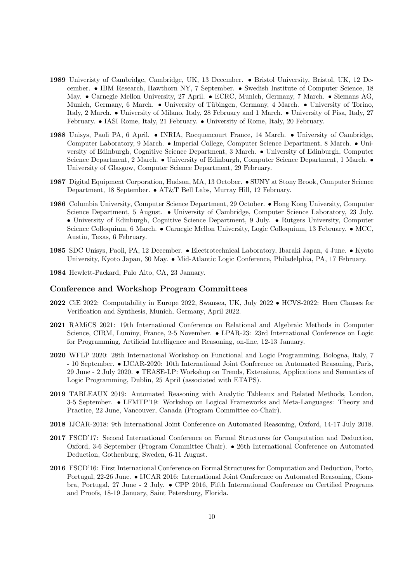- 1989 Univeristy of Cambridge, Cambridge, UK, 13 December. Bristol University, Bristol, UK, 12 December. • IBM Research, Hawthorn NY, 7 September. • Swedish Institute of Computer Science, 18 May. • Carnegie Mellon University, 27 April. • ECRC, Munich, Germany, 7 March. • Siemans AG, Munich, Germany, 6 March. • University of Tübingen, Germany, 4 March. • University of Torino, Italy, 2 March. • University of Milano, Italy, 28 February and 1 March. • University of Pisa, Italy, 27 February. • IASI Rome, Italy, 21 February. • University of Rome, Italy, 20 February.
- 1988 Unisys, Paoli PA, 6 April. INRIA, Rocquencourt France, 14 March. University of Cambridge, Computer Laboratory, 9 March. • Imperial College, Computer Science Department, 8 March. • University of Edinburgh, Cognitive Science Department, 3 March. • University of Edinburgh, Computer Science Department, 2 March. • University of Edinburgh, Computer Science Department, 1 March. • University of Glasgow, Computer Science Department, 29 February.
- 1987 Digital Equipment Corporation, Hudson, MA, 13 October. SUNY at Stony Brook, Computer Science Department, 18 September. • AT&T Bell Labs, Murray Hill, 12 February.
- 1986 Columbia University, Computer Science Department, 29 October. Hong Kong University, Computer Science Department, 5 August. • University of Cambridge, Computer Science Laboratory, 23 July. • University of Edinburgh, Cognitive Science Department, 9 July. • Rutgers University, Computer Science Colloquium, 6 March. • Carnegie Mellon University, Logic Colloquium, 13 February. • MCC, Austin, Texas, 6 February.
- 1985 SDC Unisys, Paoli, PA, 12 December. Electrotechnical Laboratory, Ibaraki Japan, 4 June. Kyoto University, Kyoto Japan, 30 May. • Mid-Atlantic Logic Conference, Philadelphia, PA, 17 February.
- 1984 Hewlett-Packard, Palo Alto, CA, 23 January.

### Conference and Workshop Program Committees

- 2022 CiE 2022: Computability in Europe 2022, Swansea, UK, July 2022 HCVS-2022: Horn Clauses for Verification and Synthesis, Munich, Germany, April 2022.
- 2021 RAMiCS 2021: 19th International Conference on Relational and Algebraic Methods in Computer Science, CIRM, Luminy, France, 2-5 November. • LPAR-23: 23rd International Conference on Logic for Programming, Artificial Intelligence and Reasoning, on-line, 12-13 January.
- 2020 WFLP 2020: 28th International Workshop on Functional and Logic Programming, Bologna, Italy, 7 - 10 September. • IJCAR-2020: 10th International Joint Conference on Automated Reasoning, Paris, 29 June - 2 July 2020. • TEASE-LP: Workshop on Trends, Extensions, Applications and Semantics of Logic Programming, Dublin, 25 April (associated with ETAPS).
- 2019 TABLEAUX 2019: Automated Reasoning with Analytic Tableaux and Related Methods, London, 3-5 September. • LFMTP'19: Workshop on Logical Frameworks and Meta-Languages: Theory and Practice, 22 June, Vancouver, Canada (Program Committee co-Chair).
- 2018 IJCAR-2018: 9th International Joint Conference on Automated Reasoning, Oxford, 14-17 July 2018.
- 2017 FSCD'17: Second International Conference on Formal Structures for Computation and Deduction, Oxford, 3-6 September (Program Committee Chair). • 26th International Conference on Automated Deduction, Gothenburg, Sweden, 6-11 August.
- 2016 FSCD'16: First International Conference on Formal Structures for Computation and Deduction, Porto, Portugal, 22-26 June. • IJCAR 2016: International Joint Conference on Automated Reasoning, Ciombra, Portugal, 27 June - 2 July. • CPP 2016, Fifth International Conference on Certified Programs and Proofs, 18-19 January, Saint Petersburg, Florida.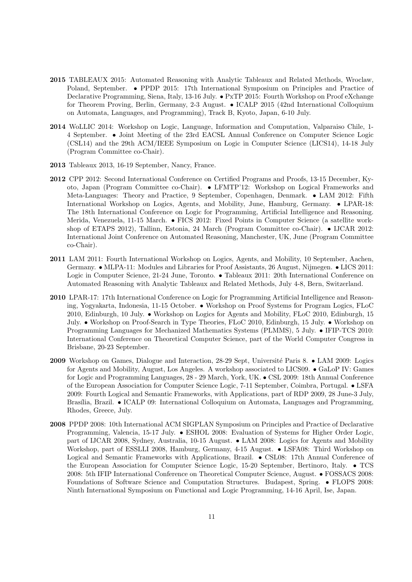- 2015 TABLEAUX 2015: Automated Reasoning with Analytic Tableaux and Related Methods, Wroclaw, Poland, September. • PPDP 2015: 17th International Symposium on Principles and Practice of Declarative Programming, Siena, Italy, 13-16 July. • PxTP 2015: Fourth Workshop on Proof eXchange for Theorem Proving, Berlin, Germany, 2-3 August. • ICALP 2015 (42nd International Colloquium on Automata, Languages, and Programming), Track B, Kyoto, Japan, 6-10 July.
- 2014 WoLLIC 2014: Workshop on Logic, Language, Information and Computation, Valparaiso Chile, 1- 4 September. • Joint Meeting of the 23rd EACSL Annual Conference on Computer Science Logic (CSL14) and the 29th ACM/IEEE Symposium on Logic in Computer Science (LICS14), 14-18 July (Program Committee co-Chair).
- 2013 Tableaux 2013, 16-19 September, Nancy, France.
- 2012 CPP 2012: Second International Conference on Certified Programs and Proofs, 13-15 December, Kyoto, Japan (Program Committee co-Chair). • LFMTP'12: Workshop on Logical Frameworks and Meta-Languages: Theory and Practice, 9 September, Copenhagen, Denmark. • LAM 2012: Fifth International Workshop on Logics, Agents, and Mobility, June, Hamburg, Germany. • LPAR-18: The 18th International Conference on Logic for Programming, Artificial Intelligence and Reasoning. Merida, Venezuela, 11-15 March. • FICS 2012: Fixed Points in Computer Science (a satellite workshop of ETAPS 2012), Tallinn, Estonia, 24 March (Program Committee co-Chair). • IJCAR 2012: International Joint Conference on Automated Reasoning, Manchester, UK, June (Program Committee co-Chair).
- 2011 LAM 2011: Fourth International Workshop on Logics, Agents, and Mobility, 10 September, Aachen, Germany. • MLPA-11: Modules and Libraries for Proof Assistants, 26 August, Nijmegen. • LICS 2011: Logic in Computer Science, 21-24 June, Toronto. • Tableaux 2011: 20th International Conference on Automated Reasoning with Analytic Tableaux and Related Methods, July 4-8, Bern, Switzerland.
- 2010 LPAR-17: 17th International Conference on Logic for Programming Artificial Intelligence and Reasoning, Yogyakarta, Indonesia, 11-15 October. • Workshop on Proof Systems for Program Logics, FLoC 2010, Edinburgh, 10 July. • Workshop on Logics for Agents and Mobility, FLoC 2010, Edinburgh, 15 July. • Workshop on Proof-Search in Type Theories, FLoC 2010, Edinburgh, 15 July. • Workshop on Programming Languages for Mechanized Mathematics Systems (PLMMS), 5 July. • IFIP-TCS 2010: International Conference on Theoretical Computer Science, part of the World Computer Congress in Brisbane, 20-23 September.
- 2009 Workshop on Games, Dialogue and Interaction, 28-29 Sept, Université Paris 8. LAM 2009: Logics for Agents and Mobility, August, Los Angeles. A workshop associated to LICS09. • GaLoP IV: Games for Logic and Programming Languages, 28 - 29 March, York, UK. • CSL 2009: 18th Annual Conference of the European Association for Computer Science Logic, 7-11 September, Coimbra, Portugal. • LSFA 2009: Fourth Logical and Semantic Frameworks, with Applications, part of RDP 2009, 28 June-3 July, Brasília, Brazil. • ICALP 09: International Colloquium on Automata, Languages and Programming, Rhodes, Greece, July.
- 2008 PPDP 2008: 10th International ACM SIGPLAN Symposium on Principles and Practice of Declarative Programming, Valencia, 15-17 July. • ESHOL 2008: Evaluation of Systems for Higher Order Logic, part of IJCAR 2008, Sydney, Australia, 10-15 August. • LAM 2008: Logics for Agents and Mobility Workshop, part of ESSLLI 2008, Hamburg, Germany, 4-15 August. • LSFA08: Third Workshop on Logical and Semantic Frameworks with Applications, Brazil. • CSL08: 17th Annual Conference of the European Association for Computer Science Logic, 15-20 September, Bertinoro, Italy. • TCS 2008: 5th IFIP International Conference on Theoretical Computer Science, August. • FOSSACS 2008: Foundations of Software Science and Computation Structures. Budapest, Spring. • FLOPS 2008: Ninth International Symposium on Functional and Logic Programming, 14-16 April, Ise, Japan.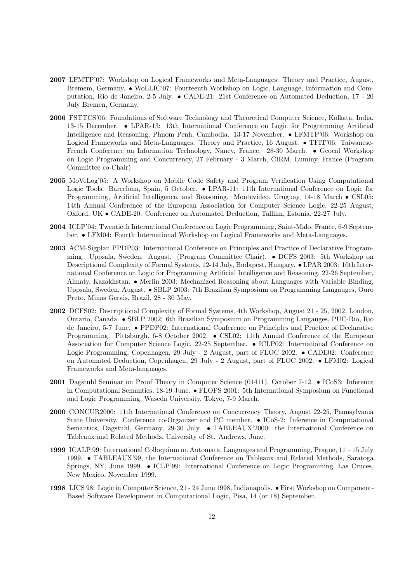- 2007 LFMTP'07: Workshop on Logical Frameworks and Meta-Languages: Theory and Practice, August, Bremem, Germany. • WoLLIC'07: Fourteenth Workshop on Logic, Language, Information and Computation, Rio de Janeiro, 2-5 July. • CADE-21: 21st Conference on Automated Deduction, 17 - 20 July Bremen, Germany.
- 2006 FSTTCS'06: Foundations of Software Technology and Theoretical Computer Science, Kolkata, India. 13-15 December. • LPAR-13: 13th International Conference on Logic for Programming Artificial Intelligence and Reasoning, Phnom Penh, Cambodia. 13-17 November. • LFMTP'06: Workshop on Logical Frameworks and Meta-Languages: Theory and Practice, 16 August. • TFIT'06: Taiwanese-French Conference on Information Technology, Nancy, France. 28-30 March. • Geocal Workshop on Logic Programming and Concurrency, 27 February - 3 March, CIRM, Luminy, France (Program Committee co-Chair)
- 2005 MoVeLog'05: A Workshop on Mobile Code Safety and Program Verification Using Computational Logic Tools. Barcelona, Spain, 5 October. • LPAR-11: 11th International Conference on Logic for Programming, Artificial Intelligence, and Reasoning. Montevideo, Uruguay, 14-18 March • CSL05: 14th Annual Conference of the European Association for Computer Science Logic, 22-25 August, Oxford, UK • CADE-20: Conference on Automated Deduction, Tallinn, Estonia, 22-27 July.
- 2004 ICLP'04: Twentieth International Conference on Logic Programming, Saint-Malo, France, 6-9 September. • LFM04: Fourth International Workshop on Logical Frameworks and Meta-Languages.
- 2003 ACM-Sigplan PPDP03: International Conference on Principles and Practice of Declarative Programming. Uppsala, Sweden. August. (Program Committee Chair). • DCFS 2003: 5th Workshop on Descriptional Complexity of Formal Systems, 12-14 July, Budapest, Hungary. • LPAR 2003: 10th International Conference on Logic for Programming Artificial Intelligence and Reasoning, 22-26 September, Almaty, Kazakhstan. • Merlin 2003: Mechanized Reasoning about Languages with Variable Binding, Uppsala, Sweden, August. • SBLP 2003: 7th Brazilian Symposium on Programming Langauges, Ouro Preto, Minas Gerais, Brazil, 28 - 30 May.
- 2002 DCFS02: Descriptional Complexity of Formal Systems, 4th Workshop, August 21 25, 2002, London, Ontario, Canada. • SBLP 2002: 6th Brazilian Symposium on Programming Langauges, PUC-Rio, Rio de Janeiro, 5-7 June. • PPDP02: International Conference on Principles and Practice of Declarative Programming. Pittsburgh, 6-8 October 2002. • CSL02: 11th Annual Conference of the European Association for Computer Science Logic, 22-25 September. • ICLP02: International Conference on Logic Programming, Copenhagen, 29 July - 2 August, part of FLOC 2002. • CADE02: Conference on Automated Deduction, Copenhagen, 29 July - 2 August, part of FLOC 2002. • LFM02: Logical Frameworks and Meta-languages.
- 2001 Dagstuhl Seminar on Proof Theory in Computer Science (01411), October 7-12. ICoS3: Inference in Computational Semantics, 18-19 June. • FLOPS 2001: 5th International Symposium on Functional and Logic Programming, Waseda University, Tokyo, 7-9 March.
- 2000 CONCUR2000: 11th International Conference on Concurrency Theory, August 22-25, Pennsylvania State University. Conference co-Organizer and PC member. • ICoS-2: Inference in Computational Semantics, Dagstuhl, Germany, 29-30 July. • TABLEAUX'2000: the International Conference on Tableaux and Related Methods, University of St. Andrews, June.
- 1999 ICALP 99: International Colloquium on Automata, Languages and Programming, Prague, 11 15 July 1999. • TABLEAUX'99, the International Conference on Tableaux and Related Methods, Saratoga Springs, NY, June 1999. • ICLP'99: International Conference on Logic Programming, Las Cruces, New Mexico, November 1999.
- 1998 LICS 98: Logic in Computer Science, 21 24 June 1998, Indianapolis. First Workshop on Component-Based Software Development in Computational Logic, Pisa, 14 (or 18) September.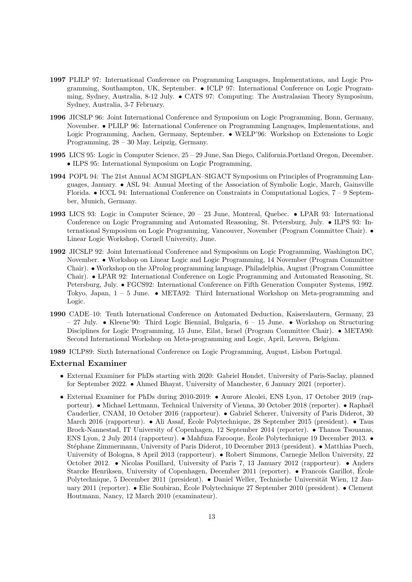- 1997 PLILP 97: International Conference on Programming Languages, Implementations, and Logic Programming, Southampton, UK, September. • ICLP 97: International Conference on Logic Programming, Sydney, Australia, 8-12 July. • CATS 97: Computing: The Australasian Theory Symposium, Sydney, Australia, 3-7 February.
- 1996 JICSLP 96: Joint International Conference and Symposium on Logic Programming, Bonn, Germany, November. • PLILP 96: International Conference on Programming Languages, Implementations, and Logic Programming, Aachen, Germany, September. • WELP'96: Workshop on Extensions to Logic Programming, 28 – 30 May, Leipzig, Germany.
- 1995 LICS 95: Logic in Computer Science, 25 29 June, San Diego, California.Portland Oregon, December. • ILPS 95: International Symposium on Logic Programming,
- 1994 POPL 94: The 21st Annual ACM SIGPLAN–SIGACT Symposium on Principles of Programming Languages, January. • ASL 94: Annual Meeting of the Association of Symbolic Logic, March, Gainsville Florida. • ICCL 94: International Conference on Constraints in Computational Logics,  $7 - 9$  September, Munich, Germany.
- 1993 LICS 93: Logic in Computer Science, 20 23 June, Montreal, Quebec. LPAR 93: International Conference on Logic Programming and Automated Reasoning, St. Petersburg, July. • ILPS 93: International Symposium on Logic Programming, Vancouver, November (Program Committee Chair). • Linear Logic Workshop, Cornell University, June.
- 1992 JICSLP 92: Joint International Conference and Symposium on Logic Programming, Washington DC, November. • Workshop on Linear Logic and Logic Programming, 14 November (Program Committee Chair). • Workshop on the λProlog programming language, Philadelphia, August (Program Committee Chair). • LPAR 92: International Conference on Logic Programming and Automated Reasoning, St. Petersburg, July. • FGCS92: International Conference on Fifth Generation Computer Systems, 1992. Tokyo, Japan, 1 – 5 June. • META92: Third International Workshop on Meta-programming and Logic.
- 1990 CADE–10: Tenth International Conference on Automated Deduction, Kaiserslautern, Germany, 23 – 27 July. • Kleene'90: Third Logic Biennial, Bulgaria, 6 – 15 June. • Workshop on Structuring Disciplines for Logic Programming, 15 June, Eilat, Israel (Program Committee Chair). • META90: Second International Workshop on Meta-programming and Logic, April, Leuven, Belgium.
- 1989 ICLP89: Sixth International Conference on Logic Programming, August, Lisbon Portugal.

### External Examiner

- External Examiner for PhDs starting with 2020: Gabriel Hondet, University of Paris-Saclay, planned for September 2022. • Ahmed Bhayat, University of Manchester, 6 January 2021 (reporter).
- External Examiner for PhDs during 2010-2019: Aurore Alcolei, ENS Lyon, 17 October 2019 (rapporteur). • Michael Lettmann, Technical University of Vienna, 30 October 2018 (reporter). • Raphaël Cauderlier, CNAM, 10 October 2016 (rapporteur). • Gabriel Scherer, University of Paris Diderot, 30 March 2016 (rapporteur). • Ali Assaf, École Polytechnique, 28 September 2015 (president). • Taus Brock-Nannestad, IT University of Copenhagen, 12 September 2014 (reporter). • Thanos Tsouanas, ENS Lyon, 2 July 2014 (rapporteur). • Mahfuza Farooque, École Polytechnique 19 December 2013. • Stéphane Zimmermann, University of Paris Diderot, 10 December 2013 (president). • Matthias Puech, University of Bologna, 8 April 2013 (rapporteur). • Robert Simmons, Carnegie Mellon University, 22 October 2012. • Nicolas Pouillard, University of Paris 7, 13 January 2012 (rapporteur). • Anders Starcke Henriksen, University of Copenhagen, December 2011 (reporter). • Francois Garillot, Ecole ´ Polytechnique, 5 December 2011 (president). • Daniel Weller, Technische Universität Wien, 12 January 2011 (reporter). • Elie Soubiran, École Polytechnique 27 September 2010 (president). • Clement Houtmann, Nancy, 12 March 2010 (examinateur).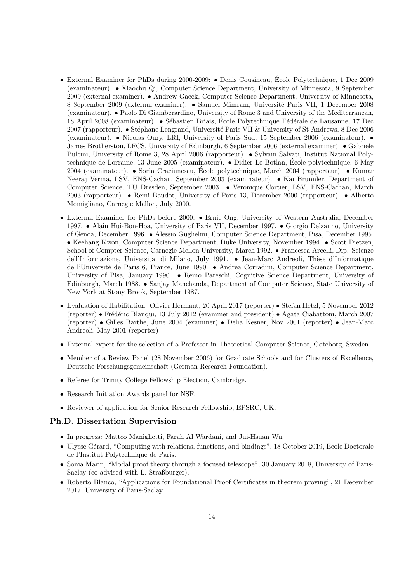- External Examiner for PhDs during 2000-2009: Denis Cousineau, École Polytechnique, 1 Dec 2009 (examinateur). • Xiaochu Qi, Computer Science Department, University of Minnesota, 9 September 2009 (external examiner). • Andrew Gacek, Computer Science Department, University of Minnesota, 8 September 2009 (external examiner). • Samuel Mimram, Université Paris VII, 1 December 2008 (examinateur). • Paolo Di Giamberardino, University of Rome 3 and University of the Mediterranean, 18 April 2008 (examinateur). • Sébastien Briais, École Polytechnique Fédérale de Lausanne, 17 Dec 2007 (rapporteur). • Stéphane Lengrand, Université Paris VII & University of St Andrews, 8 Dec 2006 (examinateur). • Nicolas Oury, LRI, University of Paris Sud, 15 September 2006 (examinateur). • James Brotherston, LFCS, University of Edinburgh, 6 September 2006 (external examiner). • Gabriele Pulcini, University of Rome 3, 28 April 2006 (rapporteur). • Sylvain Salvati, Institut National Polytechnique de Lorraine, 13 June 2005 (examinateur). • Didier Le Botlan, Ecole polytechnique, 6 May ´ 2004 (examinateur). • Sorin Craciunescu, École polytechnique, March 2004 (rapporteur). • Kumar Neeraj Verma, LSV, ENS-Cachan, September 2003 (examinateur). • Kai Brünnler, Department of Computer Science, TU Dresden, September 2003. • Veronique Cortier, LSV, ENS-Cachan, March 2003 (rapporteur). • Remi Baudot, University of Paris 13, December 2000 (rapporteur). • Alberto Momigliano, Carnegie Mellon, July 2000.
- External Examiner for PhDs before 2000: Ernie Ong, University of Western Australia, December 1997. • Alain Hui-Bon-Hoa, University of Paris VII, December 1997. • Giorgio Delzanno, University of Genoa, December 1996. • Alessio Guglielmi, Computer Science Department, Pisa, December 1995. • Keehang Kwon, Computer Science Department, Duke University, November 1994. • Scott Dietzen, School of Compter Science, Carnegie Mellon University, March 1992. • Francesca Arcelli, Dip. Scienze dell'Informazione, Universita' di Milano, July 1991. • Jean-Marc Andreoli, Thèse d'Informatique de l'Universitè de Paris 6, France, June 1990. • Andrea Corradini, Computer Science Department, University of Pisa, January 1990. • Remo Pareschi, Cognitive Science Department, University of Edinburgh, March 1988. • Sanjay Manchanda, Department of Computer Science, State University of New York at Stony Brook, September 1987.
- Evaluation of Habilitation: Olivier Hermant, 20 April 2017 (reporter) Stefan Hetzl, 5 November 2012 (reporter) • Fr´ed´eric Blanqui, 13 July 2012 (examiner and president) • Agata Ciabattoni, March 2007 (reporter) • Gilles Barthe, June 2004 (examiner) • Delia Kesner, Nov 2001 (reporter) • Jean-Marc Andreoli, May 2001 (reporter)
- External expert for the selection of a Professor in Theoretical Computer Science, Goteborg, Sweden.
- Member of a Review Panel (28 November 2006) for Graduate Schools and for Clusters of Excellence, Deutsche Forschungsgemeinschaft (German Research Foundation).
- Referee for Trinity College Fellowship Election, Cambridge.
- Research Initiation Awards panel for NSF.
- Reviewer of application for Senior Research Fellowship, EPSRC, UK.

### Ph.D. Dissertation Supervision

- In progress: Matteo Manighetti, Farah Al Wardani, and Jui-Hsuan Wu.
- Ulysse Gérard, "Computing with relations, functions, and bindings", 18 October 2019, Ecole Doctorale de l'Institut Polytechnique de Paris.
- Sonia Marin, "Modal proof theory through a focused telescope", 30 January 2018, University of Paris-Saclay (co-advised with L. Straßburger).
- Roberto Blanco, "Applications for Foundational Proof Certificates in theorem proving", 21 December 2017, University of Paris-Saclay.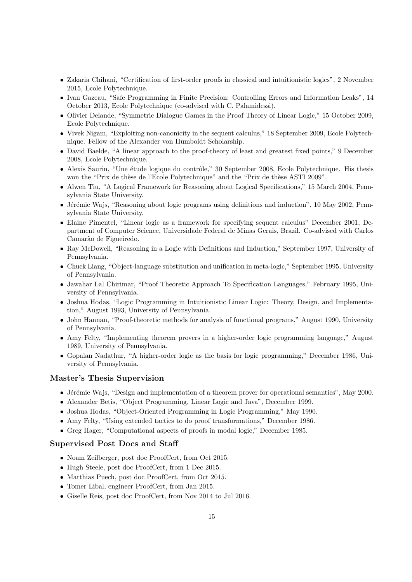- Zakaria Chihani, "Certification of first-order proofs in classical and intuitionistic logics", 2 November 2015, Ecole Polytechnique.
- Ivan Gazeau, "Safe Programming in Finite Precision: Controlling Errors and Information Leaks", 14 October 2013, Ecole Polytechnique (co-advised with C. Palamidessi).
- Olivier Delande, "Symmetric Dialogue Games in the Proof Theory of Linear Logic," 15 October 2009, Ecole Polytechnique.
- Vivek Nigam, "Exploiting non-canonicity in the sequent calculus," 18 September 2009, Ecole Polytechnique. Fellow of the Alexander von Humboldt Scholarship.
- David Baelde, "A linear approach to the proof-theory of least and greatest fixed points," 9 December 2008, Ecole Polytechnique.
- Alexis Saurin, "Une étude logique du contrôle," 30 September 2008, Ecole Polytechnique. His thesis won the "Prix de thèse de l'Ecole Polytechnique" and the "Prix de thèse ASTI 2009".
- Alwen Tiu, "A Logical Framework for Reasoning about Logical Specifications," 15 March 2004, Pennsylvania State University.
- Jérémie Wajs, "Reasoning about logic programs using definitions and induction", 10 May 2002, Pennsylvania State University.
- Elaine Pimentel, "Linear logic as a framework for specifying sequent calculus" December 2001, Department of Computer Science, Universidade Federal de Minas Gerais, Brazil. Co-advised with Carlos Camarão de Figueiredo.
- Ray McDowell, "Reasoning in a Logic with Definitions and Induction," September 1997, University of Pennsylvania.
- Chuck Liang, "Object-language substitution and unification in meta-logic," September 1995, University of Pennsylvania.
- Jawahar Lal Chirimar, "Proof Theoretic Approach To Specification Languages," February 1995, University of Pennsylvania.
- Joshua Hodas, "Logic Programming in Intuitionistic Linear Logic: Theory, Design, and Implementation," August 1993, University of Pennsylvania.
- John Hannan, "Proof-theoretic methods for analysis of functional programs," August 1990, University of Pennsylvania.
- Amy Felty, "Implementing theorem provers in a higher-order logic programming language," August 1989, University of Pennsylvania.
- Gopalan Nadathur, "A higher-order logic as the basis for logic programming," December 1986, University of Pennsylvania.

## Master's Thesis Supervision

- Jérémie Wajs, "Design and implementation of a theorem prover for operational semantics", May 2000.
- Alexander Betis, "Object Programming, Linear Logic and Java", December 1999.
- Joshua Hodas, "Object-Oriented Programming in Logic Programming," May 1990.
- Amy Felty, "Using extended tactics to do proof transformations," December 1986.
- Greg Hager, "Computational aspects of proofs in modal logic," December 1985.

### Supervised Post Docs and Staff

- Noam Zeilberger, post doc ProofCert, from Oct 2015.
- Hugh Steele, post doc ProofCert, from 1 Dec 2015.
- Matthias Puech, post doc ProofCert, from Oct 2015.
- Tomer Libal, engineer ProofCert, from Jan 2015.
- Giselle Reis, post doc ProofCert, from Nov 2014 to Jul 2016.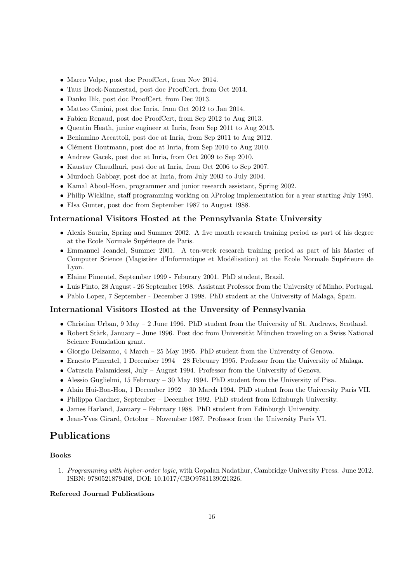- Marco Volpe, post doc ProofCert, from Nov 2014.
- Taus Brock-Nannestad, post doc ProofCert, from Oct 2014.
- Danko Ilik, post doc ProofCert, from Dec 2013.
- Matteo Cimini, post doc Inria, from Oct 2012 to Jan 2014.
- Fabien Renaud, post doc ProofCert, from Sep 2012 to Aug 2013.
- Quentin Heath, junior engineer at Inria, from Sep 2011 to Aug 2013.
- Beniamino Accattoli, post doc at Inria, from Sep 2011 to Aug 2012.
- $\bullet$  Clément Houtmann, post doc at Inria, from Sep 2010 to Aug 2010.
- Andrew Gacek, post doc at Inria, from Oct 2009 to Sep 2010.
- Kaustuv Chaudhuri, post doc at Inria, from Oct 2006 to Sep 2007.
- Murdoch Gabbay, post doc at Inria, from July 2003 to July 2004.
- Kamal Aboul-Hosn, programmer and junior research assistant, Spring 2002.
- Philip Wickline, staff programming working on λProlog implementation for a year starting July 1995.
- Elsa Gunter, post doc from September 1987 to August 1988.

### International Visitors Hosted at the Pennsylvania State University

- Alexis Saurin, Spring and Summer 2002. A five month research training period as part of his degree at the Ecole Normale Supérieure de Paris.
- Emmanuel Jeandel, Summer 2001. A ten-week research training period as part of his Master of Computer Science (Magistère d'Informatique et Modélisation) at the Ecole Normale Supérieure de Lyon.
- Elaine Pimentel, September 1999 Feburary 2001. PhD student, Brazil.
- Luis Pinto, 28 August 26 September 1998. Assistant Professor from the University of Minho, Portugal.
- Pablo Lopez, 7 September December 3 1998. PhD student at the University of Malaga, Spain.

### International Visitors Hosted at the Unversity of Pennsylvania

- Christian Urban, 9 May 2 June 1996. PhD student from the University of St. Andrews, Scotland.
- Robert Stärk, January June 1996. Post doc from Universität München traveling on a Swiss National Science Foundation grant.
- Giorgio Delzanno, 4 March 25 May 1995. PhD student from the University of Genova.
- Ernesto Pimentel, 1 December 1994 28 February 1995. Professor from the University of Malaga.
- Catuscia Palamidessi, July August 1994. Professor from the University of Genova.
- Alessio Guglielmi, 15 February 30 May 1994. PhD student from the University of Pisa.
- Alain Hui-Bon-Hoa, 1 December 1992 30 March 1994. PhD student from the University Paris VII.
- Philippa Gardner, September December 1992. PhD student from Edinburgh University.
- James Harland, January February 1988. PhD student from Edinburgh University.
- Jean-Yves Girard, October November 1987. Professor from the University Paris VI.

# Publications

### Books

1. Programming with higher-order logic, with Gopalan Nadathur, Cambridge University Press. June 2012. ISBN: 9780521879408, DOI: 10.1017/CBO9781139021326.

### Refereed Journal Publications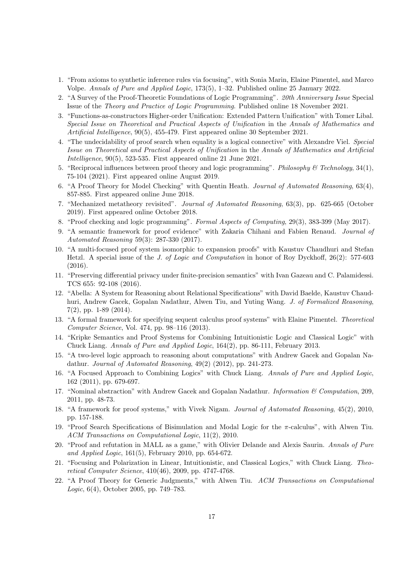- 1. "From axioms to synthetic inference rules via focusing", with Sonia Marin, Elaine Pimentel, and Marco Volpe. Annals of Pure and Applied Logic, 173(5), 1–32. Published online 25 January 2022.
- 2. "A Survey of the Proof-Theoretic Foundations of Logic Programming". 20th Anniversary Issue Special Issue of the Theory and Practice of Logic Programming. Published online 18 November 2021.
- 3. "Functions-as-constructors Higher-order Unification: Extended Pattern Unification" with Tomer Libal. Special Issue on Theoretical and Practical Aspects of Unification in the Annals of Mathematics and Artificial Intelligence, 90(5), 455-479. First appeared online 30 September 2021.
- 4. "The undecidability of proof search when equality is a logical connective" with Alexandre Viel. Special Issue on Theoretical and Practical Aspects of Unification in the Annals of Mathematics and Artificial Intelligence, 90(5), 523-535. First appeared online 21 June 2021.
- 5. "Reciprocal influences between proof theory and logic programming". Philosophy  $\mathcal C$  Technology, 34(1), 75-104 (2021). First appeared online August 2019.
- 6. "A Proof Theory for Model Checking" with Quentin Heath. Journal of Automated Reasoning, 63(4), 857-885. First appeared online June 2018.
- 7. "Mechanized metatheory revisited". Journal of Automated Reasoning, 63(3), pp. 625-665 (October 2019). First appeared online October 2018.
- 8. "Proof checking and logic programming". Formal Aspects of Computing, 29(3), 383-399 (May 2017).
- 9. "A semantic framework for proof evidence" with Zakaria Chihani and Fabien Renaud. Journal of Automated Reasoning 59(3): 287-330 (2017).
- 10. "A multi-focused proof system isomorphic to expansion proofs" with Kaustuv Chaudhuri and Stefan Hetzl. A special issue of the J. of Logic and Computation in honor of Roy Dyckhoff, 26(2): 577-603 (2016).
- 11. "Preserving differential privacy under finite-precision semantics" with Ivan Gazeau and C. Palamidessi. TCS 655: 92-108 (2016).
- 12. "Abella: A System for Reasoning about Relational Specifications" with David Baelde, Kaustuv Chaudhuri, Andrew Gacek, Gopalan Nadathur, Alwen Tiu, and Yuting Wang. J. of Formalized Reasoning, 7(2), pp. 1-89 (2014).
- 13. "A formal framework for specifying sequent calculus proof systems" with Elaine Pimentel. Theoretical Computer Science, Vol. 474, pp. 98–116 (2013).
- 14. "Kripke Semantics and Proof Systems for Combining Intuitionistic Logic and Classical Logic" with Chuck Liang. Annals of Pure and Applied Logic, 164(2), pp. 86-111, February 2013.
- 15. "A two-level logic approach to reasoning about computations" with Andrew Gacek and Gopalan Nadathur. Journal of Automated Reasoning, 49(2) (2012), pp. 241-273.
- 16. "A Focused Approach to Combining Logics" with Chuck Liang. Annals of Pure and Applied Logic, 162 (2011), pp. 679-697.
- 17. "Nominal abstraction" with Andrew Gacek and Gopalan Nadathur. Information  $\mathcal C$  Computation, 209, 2011, pp. 48-73.
- 18. "A framework for proof systems," with Vivek Nigam. Journal of Automated Reasoning, 45(2), 2010, pp. 157-188.
- 19. "Proof Search Specifications of Bisimulation and Modal Logic for the π-calculus", with Alwen Tiu. ACM Transactions on Computational Logic, 11(2), 2010.
- 20. "Proof and refutation in MALL as a game," with Olivier Delande and Alexis Saurin. Annals of Pure and Applied Logic, 161(5), February 2010, pp. 654-672.
- 21. "Focusing and Polarization in Linear, Intuitionistic, and Classical Logics," with Chuck Liang. Theoretical Computer Science, 410(46), 2009, pp. 4747-4768.
- 22. "A Proof Theory for Generic Judgments," with Alwen Tiu. ACM Transactions on Computational Logic, 6(4), October 2005, pp. 749–783.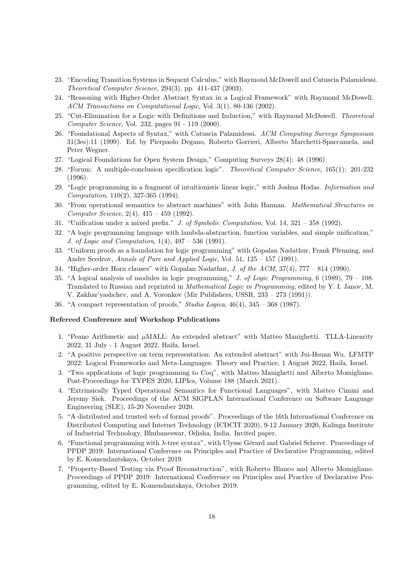- 23. "Encoding Transition Systems in Sequent Calculus," with Raymond McDowell and Catuscia Palamidessi. Theoretical Computer Science, 294(3), pp. 411-437 (2003).
- 24. "Reasoning with Higher-Order Abstract Syntax in a Logical Framework" with Raymond McDowell. ACM Transactions on Computational Logic, Vol. 3(1), 80-136 (2002).
- 25. "Cut-Elimination for a Logic with Definitions and Induction," with Raymond McDowell. Theoretical Computer Science, Vol. 232, pages 91 - 119 (2000).
- 26. "Foundational Aspects of Syntax," with Catuscia Palamidessi. ACM Computing Surveys Symposium 31(3es):11 (1999). Ed. by Pierpaolo Degano, Roberto Gorrieri, Alberto Marchetti-Spaccamela, and Peter Wegner.
- 27. "Logical Foundations for Open System Design," Computing Surveys 28(4): 48 (1996).
- 28. "Forum: A multiple-conclusion specification logic". Theoretical Computer Science, 165(1): 201-232 (1996).
- 29. "Logic programming in a fragment of intuitionistic linear logic," with Joshua Hodas. Information and Computation, 110(2), 327-365 (1994).
- 30. "From operational semantics to abstract machines" with John Hannan. Mathematical Structures in Computer Science, 2(4), 415 – 459 (1992).
- 31. "Unification under a mixed prefix." J. of Symbolic Computation, Vol. 14, 321 358 (1992).
- 32. "A logic programming language with lambda-abstraction, function variables, and simple unification," J. of Logic and Computation, 1(4), 497 – 536 (1991).
- 33. "Uniform proofs as a foundation for logic programming" with Gopalan Nadathur, Frank Pfenning, and Andre Scedrov, Annals of Pure and Applied Logic, Vol. 51, 125 – 157 (1991).
- 34. "Higher-order Horn clauses" with Gopalan Nadathur, J. of the ACM, 37(4), 777 814 (1990).
- 35. "A logical analysis of modules in logic programming," J. of Logic Programming, 6 (1989), 79 108. Translated to Russian and reprinted in Mathematical Logic in Programming, edited by Y. I. Janov, M. V. Zakhar'yashchev, and A. Voronkov (Mir Publishers, USSR, 233 – 273 (1991)).
- 36. "A compact representation of proofs," Studia Logica,  $46(4)$ ,  $345 368$  (1987).

### Refereed Conference and Workshop Publications

- 1. "Peano Arithmetic and  $\mu$ MALL: An extended abstract" with Matteo Manighetti. TLLA-Linearity 2022, 31 July - 1 August 2022, Haifa, Israel.
- 2. "A positive perspective on term representation: An extended abstract" with Jui-Hsuan Wu. LFMTP 2022: Logical Frameworks and Meta-Languages: Theory and Practice, 1 August 2022, Haifa, Israel.
- 3. "Two applications of logic programming to Coq", with Matteo Manighetti and Alberto Momigliano. Post-Proceedings for TYPES 2020, LIPIcs, Volume 188 (March 2021).
- 4. "Extrinsically Typed Operational Semantics for Functional Languages", with Matteo Cimini and Jeremy Siek. Proceedings of the ACM SIGPLAN International Conference on Software Language Engineering (SLE), 15-20 November 2020.
- 5. "A distributed and trusted web of formal proofs". Proceedings of the 16th International Conference on Distributed Computing and Internet Technology (ICDCIT 2020), 9-12 January 2020, Kalinga Institute of Industrial Technology, Bhubaneswar, Odisha, India. Invited paper.
- 6. "Functional programming with  $\lambda$ -tree syntax", with Ulysse Gérard and Gabriel Scherer. Proceedings of PPDP 2019: International Conference on Principles and Practice of Declarative Programming, edited by E. Komendantskaya, October 2019.
- 7. "Property-Based Testing via Proof Reconstruction", with Roberto Blanco and Alberto Momigliano. Proceedings of PPDP 2019: International Conference on Principles and Practice of Declarative Programming, edited by E. Komendantskaya, October 2019.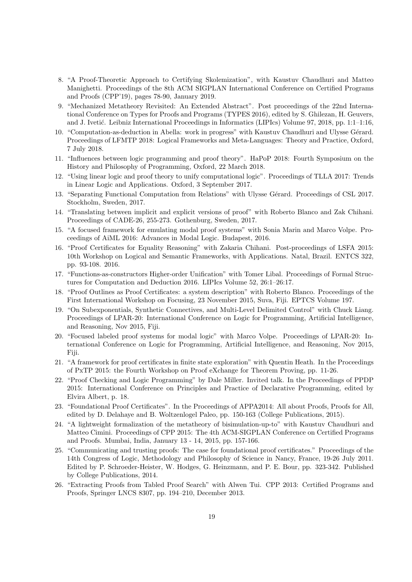- 8. "A Proof-Theoretic Approach to Certifying Skolemization", with Kaustuv Chaudhuri and Matteo Manighetti. Proceedings of the 8th ACM SIGPLAN International Conference on Certified Programs and Proofs (CPP'19), pages 78-90, January 2019.
- 9. "Mechanized Metatheory Revisited: An Extended Abstract". Post proceedings of the 22nd International Conference on Types for Proofs and Programs (TYPES 2016), edited by S. Ghilezan, H. Geuvers, and J. Ivetić. Leibniz International Proceedings in Informatics (LIPIcs) Volume 97, 2018, pp. 1:1-1:16,
- 10. "Computation-as-deduction in Abella: work in progress" with Kaustuv Chaudhuri and Ulysse Gérard. Proceedings of LFMTP 2018: Logical Frameworks and Meta-Languages: Theory and Practice, Oxford, 7 July 2018.
- 11. "Influences between logic programming and proof theory". HaPoP 2018: Fourth Symposium on the History and Philosophy of Programming, Oxford, 22 March 2018.
- 12. "Using linear logic and proof theory to unify computational logic". Proceedings of TLLA 2017: Trends in Linear Logic and Applications. Oxford, 3 September 2017.
- 13. "Separating Functional Computation from Relations" with Ulysse Gérard. Proceedings of CSL 2017. Stockholm, Sweden, 2017.
- 14. "Translating between implicit and explicit versions of proof" with Roberto Blanco and Zak Chihani. Proceedings of CADE-26, 255-273. Gothenburg, Sweden, 2017.
- 15. "A focused framework for emulating modal proof systems" with Sonia Marin and Marco Volpe. Proceedings of AiML 2016: Advances in Modal Logic. Budapest, 2016.
- 16. "Proof Certificates for Equality Reasoning" with Zakaria Chihani. Post-proceedings of LSFA 2015: 10th Workshop on Logical and Semantic Frameworks, with Applications. Natal, Brazil. ENTCS 322, pp. 93-108. 2016.
- 17. "Functions-as-constructors Higher-order Unification" with Tomer Libal. Proceedings of Formal Structures for Computation and Deduction 2016. LIPIcs Volume 52, 26:1–26:17.
- 18. "Proof Outlines as Proof Certificates: a system description" with Roberto Blanco. Proceedings of the First International Workshop on Focusing, 23 November 2015, Suva, Fiji. EPTCS Volume 197.
- 19. "On Subexponentials, Synthetic Connectives, and Multi-Level Delimited Control" with Chuck Liang. Proceedings of LPAR-20: International Conference on Logic for Programming, Artificial Intelligence, and Reasoning, Nov 2015, Fiji.
- 20. "Focused labeled proof systems for modal logic" with Marco Volpe. Proceedings of LPAR-20: International Conference on Logic for Programming, Artificial Intelligence, and Reasoning, Nov 2015, Fiji.
- 21. "A framework for proof certificates in finite state exploration" with Quentin Heath. In the Proceedings of PxTP 2015: the Fourth Workshop on Proof eXchange for Theorem Proving, pp. 11-26.
- 22. "Proof Checking and Logic Programming" by Dale Miller. Invited talk. In the Proceedings of PPDP 2015: International Conference on Principles and Practice of Declarative Programming, edited by Elvira Albert, p. 18.
- 23. "Foundational Proof Certificates". In the Proceedings of APPA2014: All about Proofs, Proofs for All, edited by D. Delahaye and B. Woltzenlogel Paleo, pp. 150-163 (College Publications, 2015).
- 24. "A lightweight formalization of the metatheory of bisimulation-up-to" with Kaustuv Chaudhuri and Matteo Cimini. Proceedings of CPP 2015: The 4th ACM-SIGPLAN Conference on Certified Programs and Proofs. Mumbai, India, January 13 - 14, 2015, pp. 157-166.
- 25. "Communicating and trusting proofs: The case for foundational proof certificates." Proceedings of the 14th Congress of Logic, Methodology and Philosophy of Science in Nancy, France, 19-26 July 2011. Edited by P. Schroeder-Heister, W. Hodges, G. Heinzmann, and P. E. Bour, pp. 323-342. Published by College Publications, 2014.
- 26. "Extracting Proofs from Tabled Proof Search" with Alwen Tui. CPP 2013: Certified Programs and Proofs, Springer LNCS 8307, pp. 194–210, December 2013.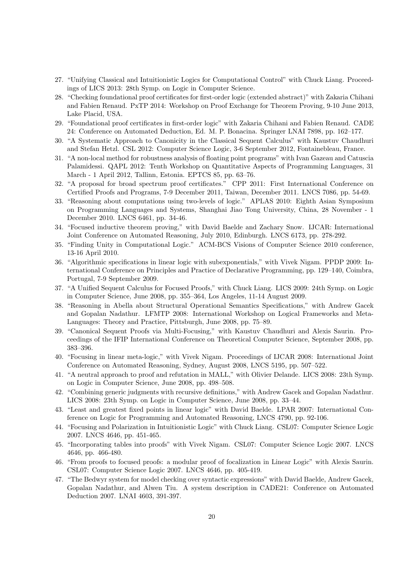- 27. "Unifying Classical and Intuitionistic Logics for Computational Control" with Chuck Liang. Proceedings of LICS 2013: 28th Symp. on Logic in Computer Science.
- 28. "Checking foundational proof certificates for first-order logic (extended abstract)" with Zakaria Chihani and Fabien Renaud. PxTP 2014: Workshop on Proof Exchange for Theorem Proving, 9-10 June 2013, Lake Placid, USA.
- 29. "Foundational proof certificates in first-order logic" with Zakaria Chihani and Fabien Renaud. CADE 24: Conference on Automated Deduction, Ed. M. P. Bonacina. Springer LNAI 7898, pp. 162–177.
- 30. "A Systematic Approach to Canonicity in the Classical Sequent Calculus" with Kaustuv Chaudhuri and Stefan Hetzl. CSL 2012: Computer Science Logic, 3-6 September 2012, Fontainebleau, France.
- 31. "A non-local method for robustness analysis of floating point programs" with Ivan Gazeau and Catuscia Palamidessi. QAPL 2012: Tenth Workshop on Quantitative Aspects of Programming Languages, 31 March - 1 April 2012, Tallinn, Estonia. EPTCS 85, pp. 63–76.
- 32. "A proposal for broad spectrum proof certificates." CPP 2011: First International Conference on Certified Proofs and Programs, 7-9 December 2011, Taiwan, December 2011. LNCS 7086, pp. 54-69.
- 33. "Reasoning about computations using two-levels of logic." APLAS 2010: Eighth Asian Symposium on Programming Languages and Systems, Shanghai Jiao Tong University, China, 28 November - 1 December 2010. LNCS 6461, pp. 34-46.
- 34. "Focused inductive theorem proving," with David Baelde and Zachary Snow. IJCAR: International Joint Conference on Automated Reasoning, July 2010, Edinburgh. LNCS 6173, pp. 278-292.
- 35. "Finding Unity in Computational Logic." ACM-BCS Visions of Computer Science 2010 conference, 13-16 April 2010.
- 36. "Algorithmic specifications in linear logic with subexponentials," with Vivek Nigam. PPDP 2009: International Conference on Principles and Practice of Declarative Programming, pp. 129–140, Coimbra, Portugal, 7-9 September 2009.
- 37. "A Unified Sequent Calculus for Focused Proofs," with Chuck Liang. LICS 2009: 24th Symp. on Logic in Computer Science, June 2008, pp. 355–364, Los Angeles, 11-14 August 2009.
- 38. "Reasoning in Abella about Structural Operational Semantics Specifications," with Andrew Gacek and Gopalan Nadathur. LFMTP 2008: International Workshop on Logical Frameworks and Meta-Languages: Theory and Practice, Pittsburgh, June 2008, pp. 75–89.
- 39. "Canonical Sequent Proofs via Multi-Focusing," with Kaustuv Chaudhuri and Alexis Saurin. Proceedings of the IFIP International Conference on Theoretical Computer Science, September 2008, pp. 383–396.
- 40. "Focusing in linear meta-logic," with Vivek Nigam. Proceedings of IJCAR 2008: International Joint Conference on Automated Reasoning, Sydney, August 2008, LNCS 5195, pp. 507–522.
- 41. "A neutral approach to proof and refutation in MALL," with Olivier Delande. LICS 2008: 23th Symp. on Logic in Computer Science, June 2008, pp. 498–508.
- 42. "Combining generic judgments with recursive definitions," with Andrew Gacek and Gopalan Nadathur. LICS 2008: 23th Symp. on Logic in Computer Science, June 2008, pp. 33–44.
- 43. "Least and greatest fixed points in linear logic" with David Baelde. LPAR 2007: International Conference on Logic for Programming and Automated Reasoning, LNCS 4790, pp. 92-106.
- 44. "Focusing and Polarization in Intuitionistic Logic" with Chuck Liang. CSL07: Computer Science Logic 2007. LNCS 4646, pp. 451-465.
- 45. "Incorporating tables into proofs" with Vivek Nigam. CSL07: Computer Science Logic 2007. LNCS 4646, pp. 466-480.
- 46. "From proofs to focused proofs: a modular proof of focalization in Linear Logic" with Alexis Saurin. CSL07: Computer Science Logic 2007. LNCS 4646, pp. 405-419.
- 47. "The Bedwyr system for model checking over syntactic expressions" with David Baelde, Andrew Gacek, Gopalan Nadathur, and Alwen Tiu. A system description in CADE21: Conference on Automated Deduction 2007. LNAI 4603, 391-397.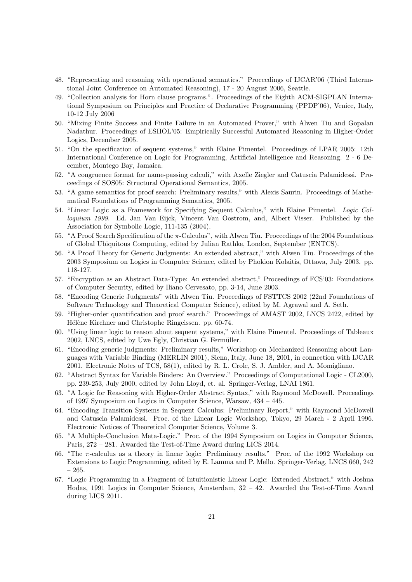- 48. "Representing and reasoning with operational semantics." Proceedings of IJCAR'06 (Third International Joint Conference on Automated Reasoning), 17 - 20 August 2006, Seattle.
- 49. "Collection analysis for Horn clause programs.". Proceedings of the Eighth ACM-SIGPLAN International Symposium on Principles and Practice of Declarative Programming (PPDP'06), Venice, Italy, 10-12 July 2006
- 50. "Mixing Finite Success and Finite Failure in an Automated Prover," with Alwen Tiu and Gopalan Nadathur. Proceedings of ESHOL'05: Empirically Successful Automated Reasoning in Higher-Order Logics, December 2005.
- 51. "On the specification of sequent systems," with Elaine Pimentel. Proceedings of LPAR 2005: 12th International Conference on Logic for Programming, Artificial Intelligence and Reasoning. 2 - 6 December, Montego Bay, Jamaica.
- 52. "A congruence format for name-passing calculi," with Axelle Ziegler and Catuscia Palamidessi. Proceedings of SOS05: Structural Operational Semantics, 2005.
- 53. "A game semantics for proof search: Preliminary results," with Alexis Saurin. Proceedings of Mathematical Foundations of Programming Semantics, 2005.
- 54. "Linear Logic as a Framework for Specifying Sequent Calculus," with Elaine Pimentel. Logic Colloquium 1999. Ed. Jan Van Eijck, Vincent Van Oostrom, and, Albert Visser. Published by the Association for Symbolic Logic, 111-135 (2004).
- 55. "A Proof Search Specification of the π-Calculus", with Alwen Tiu. Proceedings of the 2004 Foundations of Global Ubiquitous Computing, edited by Julian Rathke, London, September (ENTCS).
- 56. "A Proof Theory for Generic Judgments: An extended abstract," with Alwen Tiu. Proceedings of the 2003 Symposium on Logics in Computer Science, edited by Phokion Kolaitis, Ottawa, July 2003. pp. 118-127.
- 57. "Encryption as an Abstract Data-Type: An extended abstract," Proceedings of FCS'03: Foundations of Computer Security, edited by Iliano Cervesato, pp. 3-14, June 2003.
- 58. "Encoding Generic Judgments" with Alwen Tiu. Proceedings of FSTTCS 2002 (22nd Foundations of Software Technology and Theoretical Computer Science), edited by M. Agrawal and A. Seth.
- 59. "Higher-order quantification and proof search." Proceedings of AMAST 2002, LNCS 2422, edited by Hélène Kirchner and Christophe Ringeissen. pp. 60-74.
- 60. "Using linear logic to reason about sequent systems," with Elaine Pimentel. Proceedings of Tableaux 2002, LNCS, edited by Uwe Egly, Christian G. Fermüller.
- 61. "Encoding generic judgments: Preliminary results," Workshop on Mechanized Reasoning about Languages with Variable Binding (MERLIN 2001), Siena, Italy, June 18, 2001, in connection with IJCAR 2001. Electronic Notes of TCS, 58(1), edited by R. L. Crole, S. J. Ambler, and A. Momigliano.
- 62. "Abstract Syntax for Variable Binders: An Overview." Proceedings of Computational Logic CL2000, pp. 239-253, July 2000, edited by John Lloyd, et. al. Springer-Verlag, LNAI 1861.
- 63. "A Logic for Reasoning with Higher-Order Abstract Syntax," with Raymond McDowell. Proceedings of 1997 Symposium on Logics in Computer Science, Warsaw, 434 – 445.
- 64. "Encoding Transition Systems in Sequent Calculus: Preliminary Report," with Raymond McDowell and Catuscia Palamidessi. Proc. of the Linear Logic Workshop, Tokyo, 29 March - 2 April 1996. Electronic Notices of Theoretical Computer Science, Volume 3.
- 65. "A Multiple-Conclusion Meta-Logic." Proc. of the 1994 Symposium on Logics in Computer Science, Paris, 272 – 281. Awarded the Test-of-Time Award during LICS 2014.
- 66. "The  $\pi$ -calculus as a theory in linear logic: Preliminary results." Proc. of the 1992 Workshop on Extensions to Logic Programming, edited by E. Lamma and P. Mello. Springer-Verlag, LNCS 660, 242 – 265.
- 67. "Logic Programming in a Fragment of Intuitionistic Linear Logic: Extended Abstract," with Joshua Hodas, 1991 Logics in Computer Science, Amsterdam, 32 – 42. Awarded the Test-of-Time Award during LICS 2011.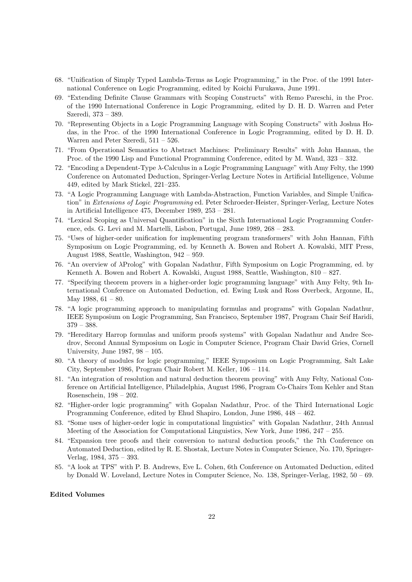- 68. "Unification of Simply Typed Lambda-Terms as Logic Programming," in the Proc. of the 1991 International Conference on Logic Programming, edited by Koichi Furukawa, June 1991.
- 69. "Extending Definite Clause Grammars with Scoping Constructs" with Remo Pareschi, in the Proc. of the 1990 International Conference in Logic Programming, edited by D. H. D. Warren and Peter Szeredi, 373 – 389.
- 70. "Representing Objects in a Logic Programming Language with Scoping Constructs" with Joshua Hodas, in the Proc. of the 1990 International Conference in Logic Programming, edited by D. H. D. Warren and Peter Szeredi, 511 – 526.
- 71. "From Operational Semantics to Abstract Machines: Preliminary Results" with John Hannan, the Proc. of the 1990 Lisp and Functional Programming Conference, edited by M. Wand, 323 – 332.
- 72. "Encoding a Dependent-Type λ-Calculus in a Logic Programming Language" with Amy Felty, the 1990 Conference on Automated Deduction, Springer-Verlag Lecture Notes in Artificial Intelligence, Volume 449, edited by Mark Stickel, 221–235.
- 73. "A Logic Programming Language with Lambda-Abstraction, Function Variables, and Simple Unification" in Extensions of Logic Programming ed. Peter Schroeder-Heister, Springer-Verlag, Lecture Notes in Artificial Intelligence 475, December 1989, 253 – 281.
- 74. "Lexical Scoping as Universal Quantification" in the Sixth International Logic Programming Conference, eds. G. Levi and M. Martelli, Lisbon, Portugal, June 1989, 268 – 283.
- 75. "Uses of higher-order unification for implementing program transformers" with John Hannan, Fifth Symposium on Logic Programming, ed. by Kenneth A. Bowen and Robert A. Kowalski, MIT Press, August 1988, Seattle, Washington, 942 – 959.
- 76. "An overview of λProlog" with Gopalan Nadathur, Fifth Symposium on Logic Programming, ed. by Kenneth A. Bowen and Robert A. Kowalski, August 1988, Seattle, Washington, 810 – 827.
- 77. "Specifying theorem provers in a higher-order logic programming language" with Amy Felty, 9th International Conference on Automated Deduction, ed. Ewing Lusk and Ross Overbeck, Argonne, IL, May 1988,  $61 - 80$ .
- 78. "A logic programming approach to manipulating formulas and programs" with Gopalan Nadathur, IEEE Symposium on Logic Programming, San Francisco, September 1987, Program Chair Seif Haridi,  $379 - 388.$
- 79. "Hereditary Harrop formulas and uniform proofs systems" with Gopalan Nadathur and Andre Scedrov, Second Annual Symposium on Logic in Computer Science, Program Chair David Gries, Cornell University, June 1987, 98 – 105.
- 80. "A theory of modules for logic programming," IEEE Symposium on Logic Programming, Salt Lake City, September 1986, Program Chair Robert M. Keller, 106 – 114.
- 81. "An integration of resolution and natural deduction theorem proving" with Amy Felty, National Conference on Artificial Intelligence, Philadelphia, August 1986, Program Co-Chairs Tom Kehler and Stan Rosenschein, 198 – 202.
- 82. "Higher-order logic programming" with Gopalan Nadathur, Proc. of the Third International Logic Programming Conference, edited by Ehud Shapiro, London, June 1986, 448 – 462.
- 83. "Some uses of higher-order logic in computational linguistics" with Gopalan Nadathur, 24th Annual Meeting of the Association for Computational Linguistics, New York, June 1986, 247 – 255.
- 84. "Expansion tree proofs and their conversion to natural deduction proofs," the 7th Conference on Automated Deduction, edited by R. E. Shostak, Lecture Notes in Computer Science, No. 170, Springer-Verlag, 1984, 375 – 393.
- 85. "A look at TPS" with P. B. Andrews, Eve L. Cohen, 6th Conference on Automated Deduction, edited by Donald W. Loveland, Lecture Notes in Computer Science, No. 138, Springer-Verlag, 1982, 50 – 69.

## Edited Volumes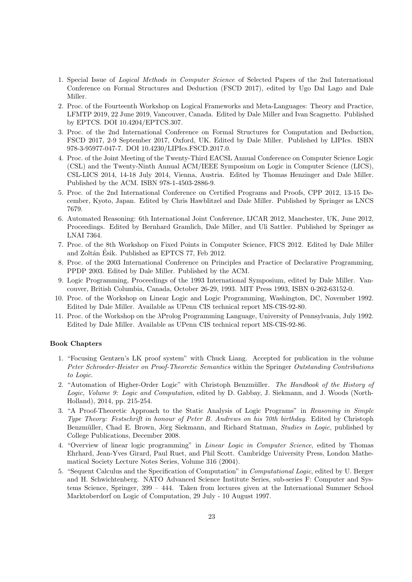- 1. Special Issue of Logical Methods in Computer Science of Selected Papers of the 2nd International Conference on Formal Structures and Deduction (FSCD 2017), edited by Ugo Dal Lago and Dale Miller.
- 2. Proc. of the Fourteenth Workshop on Logical Frameworks and Meta-Languages: Theory and Practice, LFMTP 2019, 22 June 2019, Vancouver, Canada. Edited by Dale Miller and Ivan Scagnetto. Published by EPTCS. DOI 10.4204/EPTCS.307.
- 3. Proc. of the 2nd International Conference on Formal Structures for Computation and Deduction, FSCD 2017, 2-9 September 2017, Oxford, UK. Edited by Dale Miller. Published by LIPIcs. ISBN 978-3-95977-047-7. DOI 10.4230/LIPIcs.FSCD.2017.0.
- 4. Proc. of the Joint Meeting of the Twenty-Third EACSL Annual Conference on Computer Science Logic (CSL) and the Twenty-Ninth Annual ACM/IEEE Symposium on Logic in Computer Science (LICS), CSL-LICS 2014, 14-18 July 2014, Vienna, Austria. Edited by Thomas Henzinger and Dale Miller. Published by the ACM. ISBN 978-1-4503-2886-9.
- 5. Proc. of the 2nd International Conference on Certified Programs and Proofs, CPP 2012, 13-15 December, Kyoto, Japan. Edited by Chris Hawblitzel and Dale Miller. Published by Springer as LNCS 7679.
- 6. Automated Reasoning: 6th International Joint Conference, IJCAR 2012, Manchester, UK, June 2012, Proceedings. Edited by Bernhard Gramlich, Dale Miller, and Uli Sattler. Published by Springer as LNAI 7364.
- 7. Proc. of the 8th Workshop on Fixed Points in Computer Science, FICS 2012. Edited by Dale Miller and Zoltán Ésik. Published as EPTCS 77, Feb 2012.
- 8. Proc. of the 2003 International Conference on Principles and Practice of Declarative Programming, PPDP 2003. Edited by Dale Miller. Published by the ACM.
- 9. Logic Programming, Proceedings of the 1993 International Symposium, edited by Dale Miller. Vancouver, British Columbia, Canada, October 26-29, 1993. MIT Press 1993, ISBN 0-262-63152-0.
- 10. Proc. of the Workshop on Linear Logic and Logic Programming, Washington, DC, November 1992. Edited by Dale Miller. Available as UPenn CIS technical report MS-CIS-92-80.
- 11. Proc. of the Workshop on the λProlog Programming Language, University of Pennsylvania, July 1992. Edited by Dale Miller. Available as UPenn CIS technical report MS-CIS-92-86.

## Book Chapters

- 1. "Focusing Gentzen's LK proof system" with Chuck Liang. Accepted for publication in the volume Peter Schroeder-Heister on Proof-Theoretic Semantics within the Springer Outstanding Contributions to Logic.
- 2. "Automation of Higher-Order Logic" with Christoph Benzmüller. The Handbook of the History of Logic, Volume 9: Logic and Computation, edited by D. Gabbay, J. Siekmann, and J. Woods (North-Holland), 2014, pp. 215-254.
- 3. "A Proof-Theoretic Approach to the Static Analysis of Logic Programs" in Reasoning in Simple Type Theory: Festschrift in honour of Peter B. Andrews on his 70th birthday. Edited by Christoph Benzmüller, Chad E. Brown, Jörg Siekmann, and Richard Statman, Studies in Logic, published by College Publications, December 2008.
- 4. "Overview of linear logic programming" in Linear Logic in Computer Science, edited by Thomas Ehrhard, Jean-Yves Girard, Paul Ruet, and Phil Scott. Cambridge University Press, London Mathematical Society Lecture Notes Series, Volume 316 (2004).
- 5. "Sequent Calculus and the Specification of Computation" in Computational Logic, edited by U. Berger and H. Schwichtenberg. NATO Advanced Science Institute Series, sub-series F: Computer and Systems Science, Springer, 399 – 444. Taken from lectures given at the International Summer School Marktoberdorf on Logic of Computation, 29 July - 10 August 1997.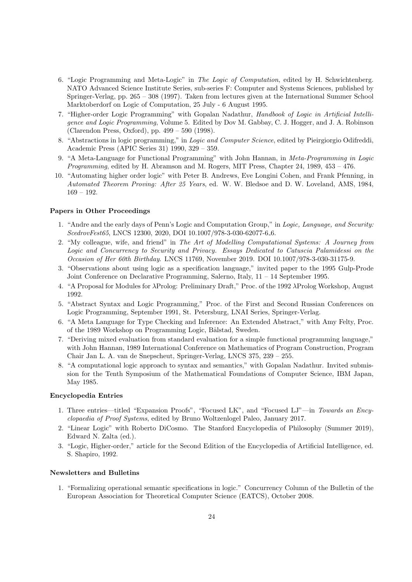- 6. "Logic Programming and Meta-Logic" in The Logic of Computation, edited by H. Schwichtenberg. NATO Advanced Science Institute Series, sub-series F: Computer and Systems Sciences, published by Springer-Verlag, pp. 265 – 308 (1997). Taken from lectures given at the International Summer School Marktoberdorf on Logic of Computation, 25 July - 6 August 1995.
- 7. "Higher-order Logic Programming" with Gopalan Nadathur, Handbook of Logic in Artificial Intelligence and Logic Programming, Volume 5. Edited by Dov M. Gabbay, C. J. Hogger, and J. A. Robinson (Clarendon Press, Oxford), pp. 499 – 590 (1998).
- 8. "Abstractions in logic programming," in Logic and Computer Science, edited by Pieirgiorgio Odifreddi, Academic Press (APIC Series 31) 1990, 329 – 359.
- 9. "A Meta-Language for Functional Programming" with John Hannan, in Meta-Programming in Logic Programming, edited by H. Abramson and M. Rogers, MIT Press, Chapter 24, 1989, 453 – 476.
- 10. "Automating higher order logic" with Peter B. Andrews, Eve Longini Cohen, and Frank Pfenning, in Automated Theorem Proving: After 25 Years, ed. W. W. Bledsoe and D. W. Loveland, AMS, 1984, 169 – 192.

### Papers in Other Proceedings

- 1. "Andre and the early days of Penn's Logic and Computation Group," in Logic, Language, and Security: ScedrovFest65, LNCS 12300, 2020, DOI 10.1007/978-3-030-62077-6 6.
- 2. "My colleague, wife, and friend" in The Art of Modelling Computational Systems: A Journey from Logic and Concurrency to Security and Privacy. Essays Dedicated to Catuscia Palamidessi on the Occasion of Her 60th Birthday. LNCS 11769, November 2019. DOI 10.1007/978-3-030-31175-9.
- 3. "Observations about using logic as a specification language," invited paper to the 1995 Gulp-Prode Joint Conference on Declarative Programming, Salerno, Italy, 11 – 14 September 1995.
- 4. "A Proposal for Modules for λProlog: Preliminary Draft," Proc. of the 1992 λProlog Workshop, August 1992.
- 5. "Abstract Syntax and Logic Programming," Proc. of the First and Second Russian Conferences on Logic Programming, September 1991, St. Petersburg, LNAI Series, Springer-Verlag.
- 6. "A Meta Language for Type Checking and Inference: An Extended Abstract," with Amy Felty, Proc. of the 1989 Workshop on Programming Logic, Bålstad, Sweden.
- 7. "Deriving mixed evaluation from standard evaluation for a simple functional programming language," with John Hannan, 1989 International Conference on Mathematics of Program Construction, Program Chair Jan L. A. van de Snepscheut, Springer-Verlag, LNCS 375, 239 – 255.
- 8. "A computational logic approach to syntax and semantics," with Gopalan Nadathur. Invited submission for the Tenth Symposium of the Mathematical Foundations of Computer Science, IBM Japan, May 1985.

### Encyclopedia Entries

- 1. Three entries—titled "Expansion Proofs", "Focused LK", and "Focused LJ"—in Towards an Encyclopaedia of Proof Systems, edited by Bruno Woltzenlogel Paleo, January 2017.
- 2. "Linear Logic" with Roberto DiCosmo. The Stanford Encyclopedia of Philosophy (Summer 2019), Edward N. Zalta (ed.).
- 3. "Logic, Higher-order," article for the Second Edition of the Encyclopedia of Artificial Intelligence, ed. S. Shapiro, 1992.

### Newsletters and Bulletins

1. "Formalizing operational semantic specifications in logic." Concurrency Column of the Bulletin of the European Association for Theoretical Computer Science (EATCS), October 2008.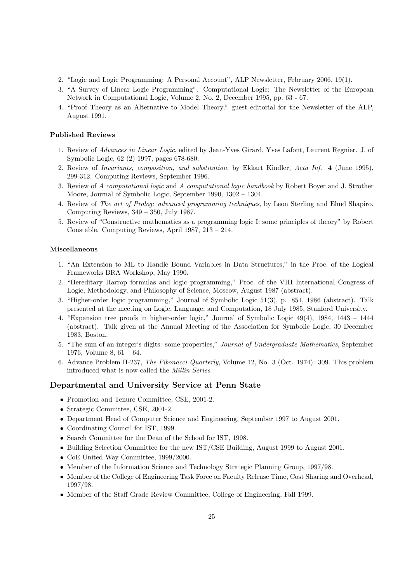- 2. "Logic and Logic Programming: A Personal Account", ALP Newsletter, February 2006, 19(1).
- 3. "A Survey of Linear Logic Programming". Computational Logic: The Newsletter of the European Network in Computational Logic, Volume 2, No. 2, December 1995, pp. 63 - 67.
- 4. "Proof Theory as an Alternative to Model Theory," guest editorial for the Newsletter of the ALP, August 1991.

### Published Reviews

- 1. Review of Advances in Linear Logic, edited by Jean-Yves Girard, Yves Lafont, Laurent Regnier. J. of Symbolic Logic, 62 (2) 1997, pages 678-680.
- 2. Review of Invariants, composition, and substitution, by Ekkart Kindler, Acta Inf. 4 (June 1995), 299-312. Computing Reviews, September 1996.
- 3. Review of A computational logic and A computational logic handbook by Robert Boyer and J. Strother Moore, Journal of Symbolic Logic, September 1990, 1302 – 1304.
- 4. Review of The art of Prolog: advanced programming techniques, by Leon Sterling and Ehud Shapiro. Computing Reviews, 349 – 350, July 1987.
- 5. Review of "Constructive mathematics as a programming logic I: some principles of theory" by Robert Constable. Computing Reviews, April 1987, 213 – 214.

## Miscellaneous

- 1. "An Extension to ML to Handle Bound Variables in Data Structures," in the Proc. of the Logical Frameworks BRA Workshop, May 1990.
- 2. "Hereditary Harrop formulas and logic programming," Proc. of the VIII International Congress of Logic, Methodology, and Philosophy of Science, Moscow, August 1987 (abstract).
- 3. "Higher-order logic programming," Journal of Symbolic Logic 51(3), p. 851, 1986 (abstract). Talk presented at the meeting on Logic, Language, and Computation, 18 July 1985, Stanford University.
- 4. "Expansion tree proofs in higher-order logic," Journal of Symbolic Logic 49(4), 1984, 1443 1444 (abstract). Talk given at the Annual Meeting of the Association for Symbolic Logic, 30 December 1983, Boston.
- 5. "The sum of an integer's digits: some properties," Journal of Undergraduate Mathematics, September 1976, Volume 8, 61 – 64.
- 6. Advance Problem H-237, The Fibonacci Quarterly, Volume 12, No. 3 (Oct. 1974): 309. This problem introduced what is now called the Millin Series.

### Departmental and University Service at Penn State

- Promotion and Tenure Committee, CSE, 2001-2.
- Strategic Committee, CSE, 2001-2.
- Department Head of Computer Science and Engineering, September 1997 to August 2001.
- Coordinating Council for IST, 1999.
- Search Committee for the Dean of the School for IST, 1998.
- Building Selection Committee for the new IST/CSE Building, August 1999 to August 2001.
- CoE United Way Committee, 1999/2000.
- Member of the Information Science and Technology Strategic Planning Group, 1997/98.
- Member of the College of Engineering Task Force on Faculty Release Time, Cost Sharing and Overhead, 1997/98.
- Member of the Staff Grade Review Committee, College of Engineering, Fall 1999.